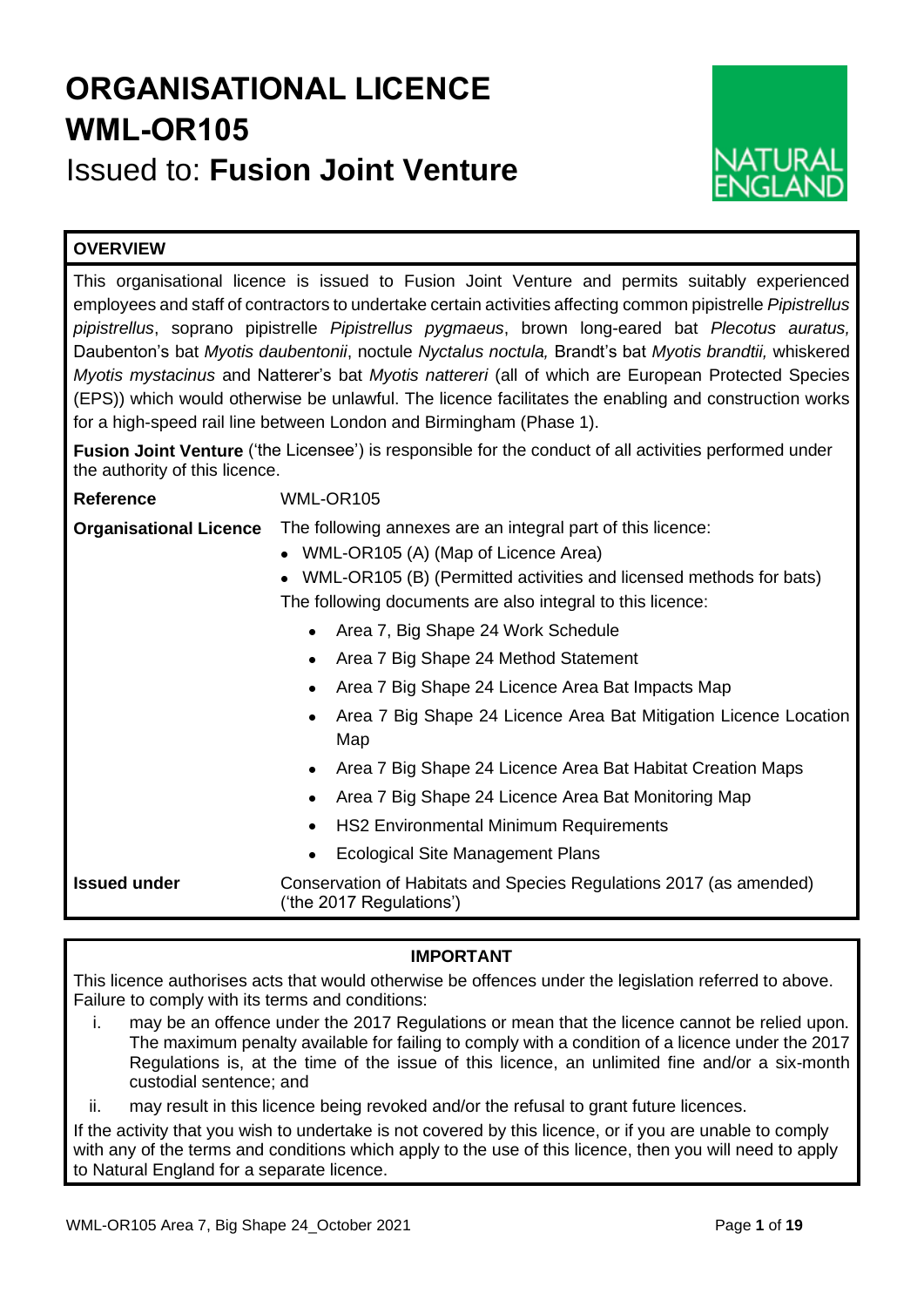# **ORGANISATIONAL LICENCE WML-OR105**

Issued to: **Fusion Joint Venture**



## **OVERVIEW**

This organisational licence is issued to Fusion Joint Venture and permits suitably experienced employees and staff of contractors to undertake certain activities affecting common pipistrelle *Pipistrellus pipistrellus*, soprano pipistrelle *Pipistrellus pygmaeus*, brown long-eared bat *Plecotus auratus,* Daubenton's bat *Myotis daubentonii*, noctule *Nyctalus noctula,* Brandt's bat *Myotis brandtii,* whiskered *Myotis mystacinus* and Natterer's bat *Myotis nattereri* (all of which are European Protected Species (EPS)) which would otherwise be unlawful. The licence facilitates the enabling and construction works for a high-speed rail line between London and Birmingham (Phase 1).

**Fusion Joint Venture** ('the Licensee') is responsible for the conduct of all activities performed under the authority of this licence.

| <b>Reference</b>              | WML-OR105                                                                                                                                                                                                                                           |  |  |  |  |
|-------------------------------|-----------------------------------------------------------------------------------------------------------------------------------------------------------------------------------------------------------------------------------------------------|--|--|--|--|
| <b>Organisational Licence</b> | The following annexes are an integral part of this licence:<br>WML-OR105 (A) (Map of Licence Area)<br>$\bullet$<br>WML-OR105 (B) (Permitted activities and licensed methods for bats)<br>The following documents are also integral to this licence: |  |  |  |  |
|                               | Area 7, Big Shape 24 Work Schedule                                                                                                                                                                                                                  |  |  |  |  |
|                               | Area 7 Big Shape 24 Method Statement                                                                                                                                                                                                                |  |  |  |  |
|                               | Area 7 Big Shape 24 Licence Area Bat Impacts Map                                                                                                                                                                                                    |  |  |  |  |
|                               | Area 7 Big Shape 24 Licence Area Bat Mitigation Licence Location<br>Map                                                                                                                                                                             |  |  |  |  |
|                               | Area 7 Big Shape 24 Licence Area Bat Habitat Creation Maps                                                                                                                                                                                          |  |  |  |  |
|                               | Area 7 Big Shape 24 Licence Area Bat Monitoring Map                                                                                                                                                                                                 |  |  |  |  |
|                               | <b>HS2 Environmental Minimum Requirements</b><br>$\bullet$                                                                                                                                                                                          |  |  |  |  |
|                               | <b>Ecological Site Management Plans</b>                                                                                                                                                                                                             |  |  |  |  |
| <b>Issued under</b>           | Conservation of Habitats and Species Regulations 2017 (as amended)<br>('the 2017 Regulations')                                                                                                                                                      |  |  |  |  |

## **IMPORTANT**

This licence authorises acts that would otherwise be offences under the legislation referred to above. Failure to comply with its terms and conditions:

i. may be an offence under the 2017 Regulations or mean that the licence cannot be relied upon. The maximum penalty available for failing to comply with a condition of a licence under the 2017 Regulations is, at the time of the issue of this licence, an unlimited fine and/or a six-month custodial sentence; and

ii. may result in this licence being revoked and/or the refusal to grant future licences.

If the activity that you wish to undertake is not covered by this licence, or if you are unable to comply with any of the terms and conditions which apply to the use of this licence, then you will need to apply to Natural England for a separate licence.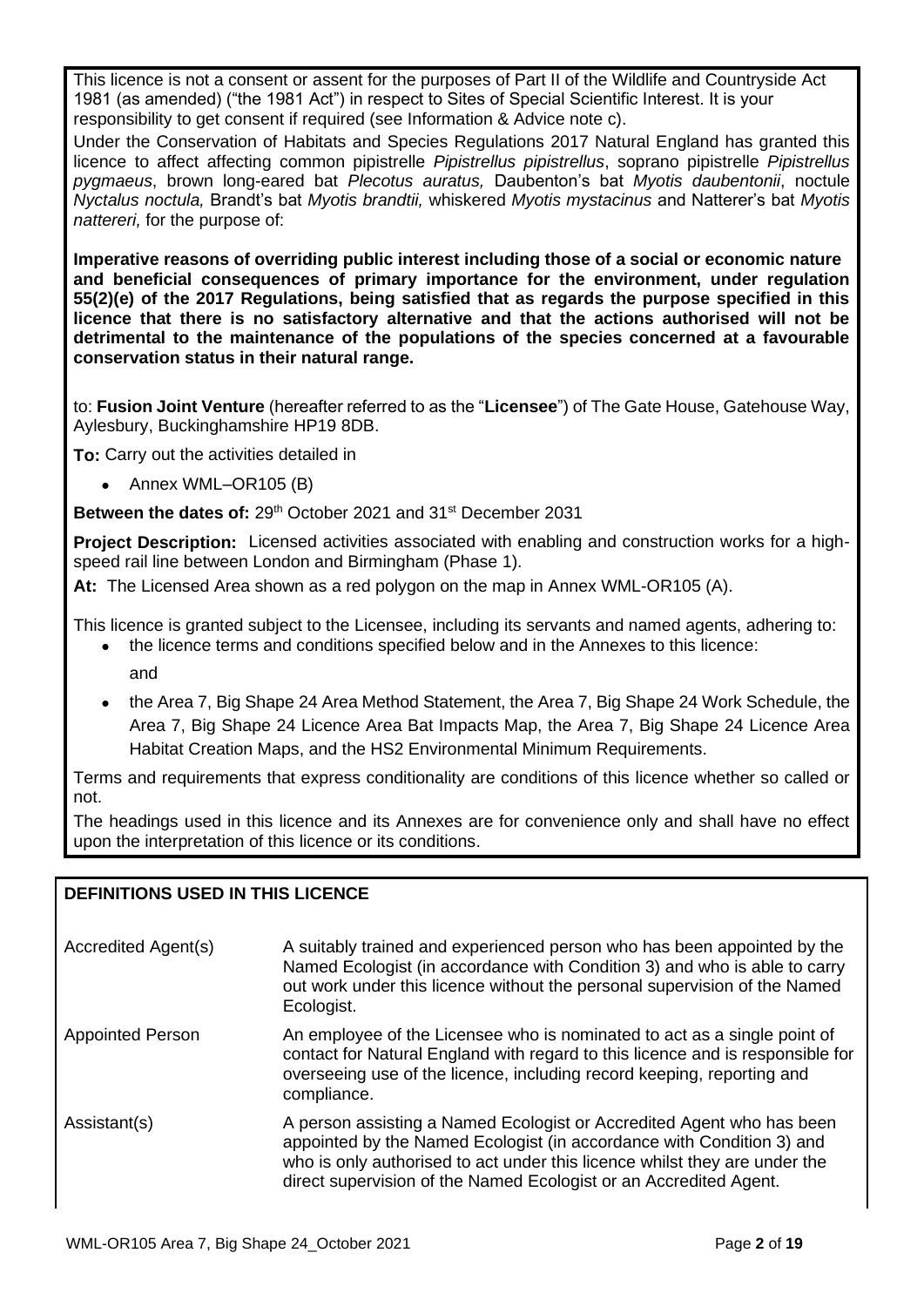This licence is not a consent or assent for the purposes of Part II of the Wildlife and Countryside Act 1981 (as amended) ("the 1981 Act") in respect to Sites of Special Scientific Interest. It is your responsibility to get consent if required (see Information & Advice note c).

Under the Conservation of Habitats and Species Regulations 2017 Natural England has granted this licence to affect affecting common pipistrelle *Pipistrellus pipistrellus*, soprano pipistrelle *Pipistrellus pygmaeus*, brown long-eared bat *Plecotus auratus,* Daubenton's bat *Myotis daubentonii*, noctule *Nyctalus noctula,* Brandt's bat *Myotis brandtii,* whiskered *Myotis mystacinus* and Natterer's bat *Myotis nattereri,* for the purpose of:

**Imperative reasons of overriding public interest including those of a social or economic nature and beneficial consequences of primary importance for the environment, under regulation 55(2)(e) of the 2017 Regulations, being satisfied that as regards the purpose specified in this licence that there is no satisfactory alternative and that the actions authorised will not be detrimental to the maintenance of the populations of the species concerned at a favourable conservation status in their natural range.**

to: **Fusion Joint Venture** (hereafter referred to as the "**Licensee**") of The Gate House, Gatehouse Way, Aylesbury, Buckinghamshire HP19 8DB.

**To:** Carry out the activities detailed in

• Annex WML–OR105 (B)

Between the dates of: 29<sup>th</sup> October 2021 and 31<sup>st</sup> December 2031

**Project Description:** Licensed activities associated with enabling and construction works for a highspeed rail line between London and Birmingham (Phase 1).

**At:** The Licensed Area shown as a red polygon on the map in Annex WML-OR105 (A).

This licence is granted subject to the Licensee, including its servants and named agents, adhering to:

- the licence terms and conditions specified below and in the Annexes to this licence: and
- the Area 7, Big Shape 24 Area Method Statement, the Area 7, Big Shape 24 Work Schedule, the Area 7, Big Shape 24 Licence Area Bat Impacts Map, the Area 7, Big Shape 24 Licence Area Habitat Creation Maps, and the HS2 Environmental Minimum Requirements.

Terms and requirements that express conditionality are conditions of this licence whether so called or not.

The headings used in this licence and its Annexes are for convenience only and shall have no effect upon the interpretation of this licence or its conditions.

## **DEFINITIONS USED IN THIS LICENCE**

| Accredited Agent(s)     | A suitably trained and experienced person who has been appointed by the<br>Named Ecologist (in accordance with Condition 3) and who is able to carry<br>out work under this licence without the personal supervision of the Named<br>Ecologist.                                                   |
|-------------------------|---------------------------------------------------------------------------------------------------------------------------------------------------------------------------------------------------------------------------------------------------------------------------------------------------|
| <b>Appointed Person</b> | An employee of the Licensee who is nominated to act as a single point of<br>contact for Natural England with regard to this licence and is responsible for<br>overseeing use of the licence, including record keeping, reporting and<br>compliance.                                               |
| Assistant(s)            | A person assisting a Named Ecologist or Accredited Agent who has been<br>appointed by the Named Ecologist (in accordance with Condition 3) and<br>who is only authorised to act under this licence whilst they are under the<br>direct supervision of the Named Ecologist or an Accredited Agent. |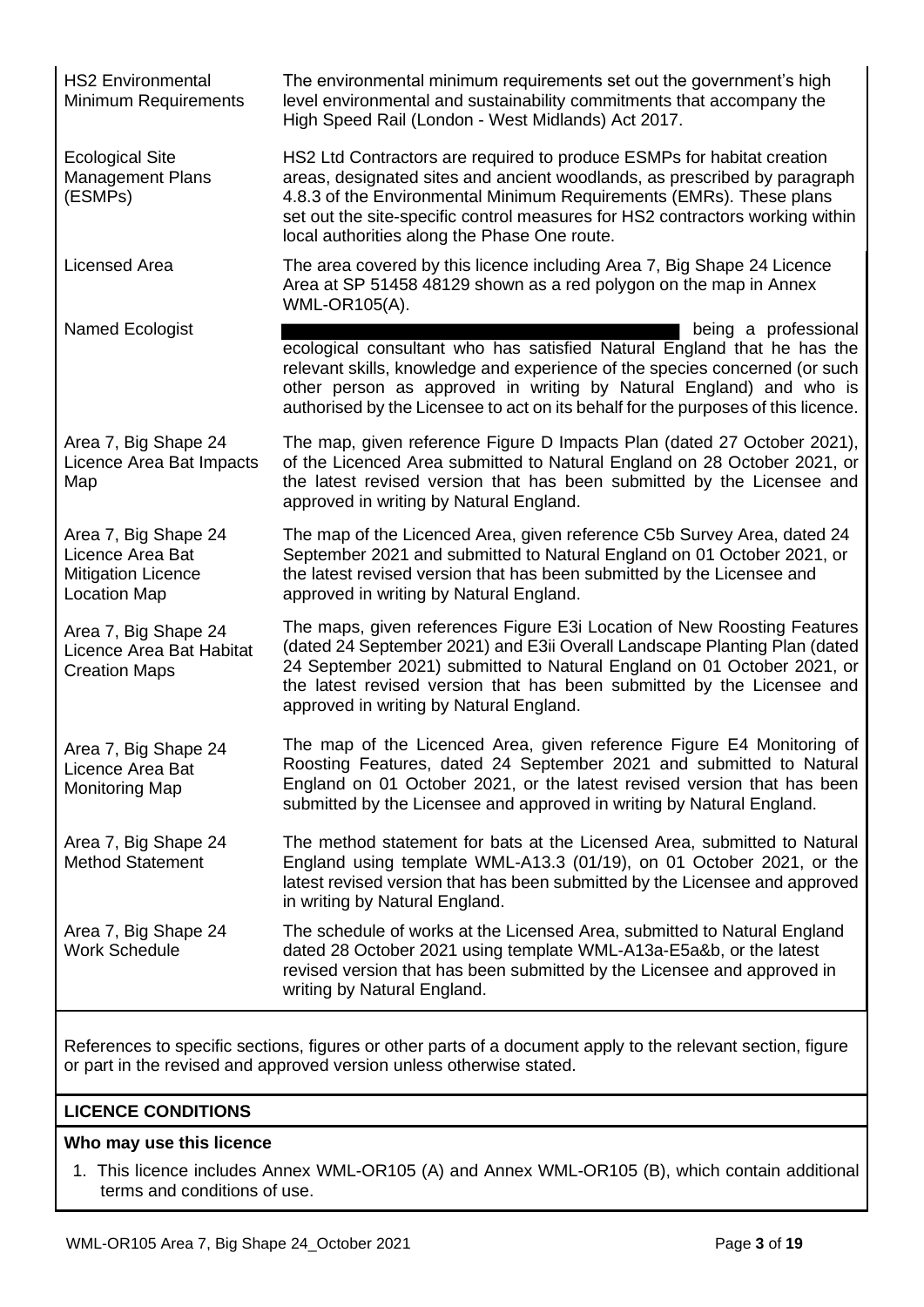HS2 Environmental Minimum Requirements

Ecological Site Management Plans (ESMPs)

The environmental minimum requirements set out the government's high level environmental and sustainability commitments that accompany the High Speed Rail (London - West Midlands) Act 2017.

HS2 Ltd Contractors are required to produce ESMPs for habitat creation areas, designated sites and ancient woodlands, as prescribed by paragraph 4.8.3 of the Environmental Minimum Requirements (EMRs). These plans set out the site-specific control measures for HS2 contractors working within local authorities along the Phase One route.

Licensed Area The area covered by this licence including Area 7, Big Shape 24 Licence Area at SP 51458 48129 shown as a red polygon on the map in Annex WML-OR105(A).

Named Ecologist **being** a professional ecological consultant who has satisfied Natural England that he has the relevant skills, knowledge and experience of the species concerned (or such other person as approved in writing by Natural England) and who is authorised by the Licensee to act on its behalf for the purposes of this licence.

> The map, given reference Figure D Impacts Plan (dated 27 October 2021), of the Licenced Area submitted to Natural England on 28 October 2021, or the latest revised version that has been submitted by the Licensee and

Area 7, Big Shape 24 Licence Area Bat Impacts Map

Area 7, Big Shape 24 Licence Area Bat Mitigation Licence Location Map

Area 7, Big Shape 24 Licence Area Bat Habitat Creation Maps

Area 7, Big Shape 24 Licence Area Bat Monitoring Map

Area 7, Big Shape 24 Method Statement

Area 7, Big Shape 24 Work Schedule

The map of the Licenced Area, given reference C5b Survey Area, dated 24 September 2021 and submitted to Natural England on 01 October 2021, or the latest revised version that has been submitted by the Licensee and approved in writing by Natural England.

The maps, given references Figure E3i Location of New Roosting Features (dated 24 September 2021) and E3ii Overall Landscape Planting Plan (dated 24 September 2021) submitted to Natural England on 01 October 2021, or the latest revised version that has been submitted by the Licensee and approved in writing by Natural England.

The map of the Licenced Area, given reference Figure E4 Monitoring of Roosting Features, dated 24 September 2021 and submitted to Natural England on 01 October 2021, or the latest revised version that has been submitted by the Licensee and approved in writing by Natural England.

The method statement for bats at the Licensed Area, submitted to Natural England using template WML-A13.3 (01/19), on 01 October 2021, or the latest revised version that has been submitted by the Licensee and approved in writing by Natural England.

The schedule of works at the Licensed Area, submitted to Natural England dated 28 October 2021 using template WML-A13a-E5a&b, or the latest revised version that has been submitted by the Licensee and approved in writing by Natural England.

References to specific sections, figures or other parts of a document apply to the relevant section, figure or part in the revised and approved version unless otherwise stated.

approved in writing by Natural England.

## **LICENCE CONDITIONS**

## **Who may use this licence**

1. This licence includes Annex WML-OR105 (A) and Annex WML-OR105 (B), which contain additional terms and conditions of use.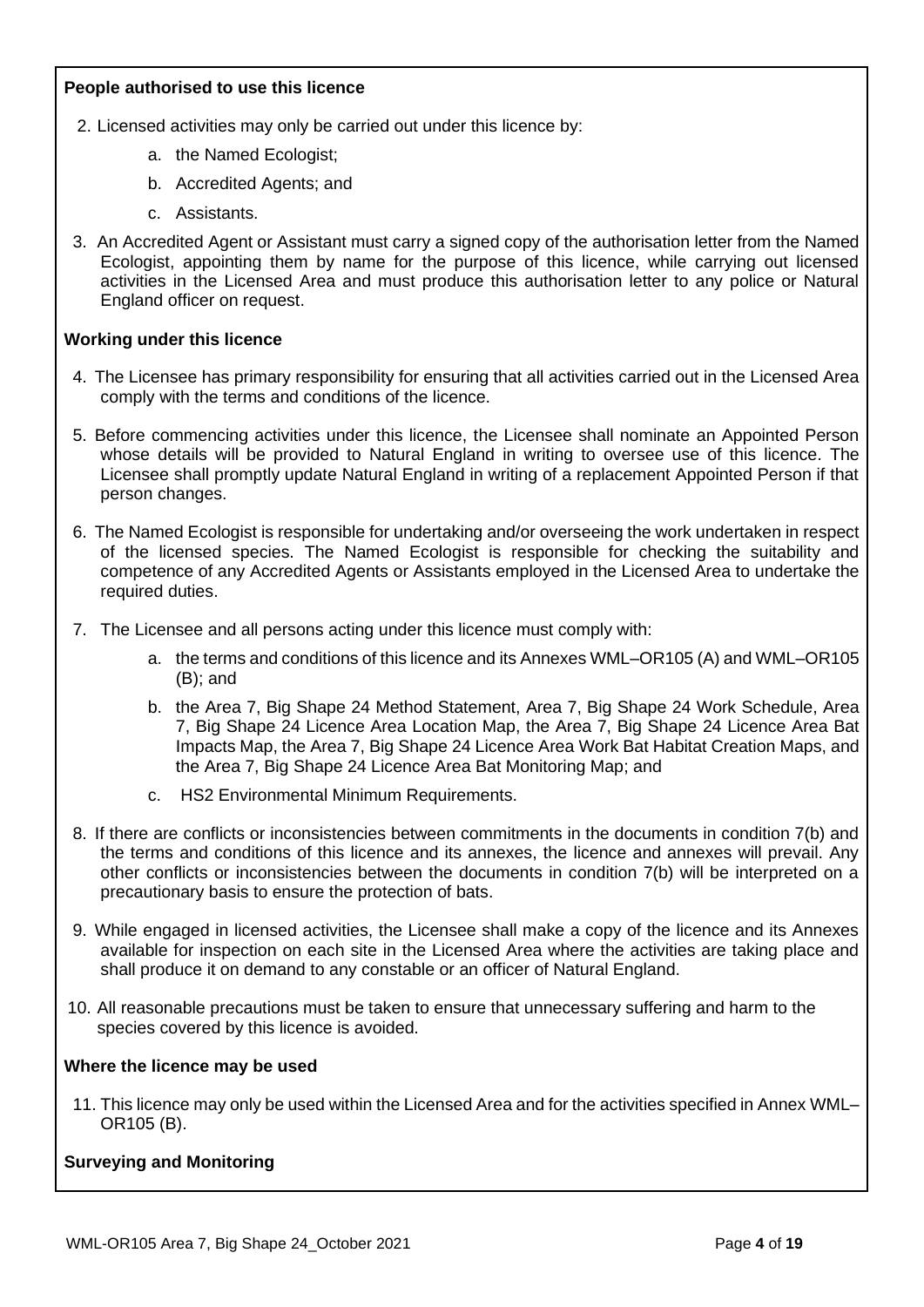## **People authorised to use this licence**

- 2. Licensed activities may only be carried out under this licence by:
	- a. the Named Ecologist;
	- b. Accredited Agents; and
	- c. Assistants.
- 3. An Accredited Agent or Assistant must carry a signed copy of the authorisation letter from the Named Ecologist, appointing them by name for the purpose of this licence, while carrying out licensed activities in the Licensed Area and must produce this authorisation letter to any police or Natural England officer on request.

## **Working under this licence**

- 4. The Licensee has primary responsibility for ensuring that all activities carried out in the Licensed Area comply with the terms and conditions of the licence.
- 5. Before commencing activities under this licence, the Licensee shall nominate an Appointed Person whose details will be provided to Natural England in writing to oversee use of this licence. The Licensee shall promptly update Natural England in writing of a replacement Appointed Person if that person changes.
- 6. The Named Ecologist is responsible for undertaking and/or overseeing the work undertaken in respect of the licensed species. The Named Ecologist is responsible for checking the suitability and competence of any Accredited Agents or Assistants employed in the Licensed Area to undertake the required duties.
- 7. The Licensee and all persons acting under this licence must comply with:
	- a. the terms and conditions of this licence and its Annexes WML–OR105 (A) and WML–OR105 (B); and
	- b. the Area 7, Big Shape 24 Method Statement, Area 7, Big Shape 24 Work Schedule, Area 7, Big Shape 24 Licence Area Location Map, the Area 7, Big Shape 24 Licence Area Bat Impacts Map, the Area 7, Big Shape 24 Licence Area Work Bat Habitat Creation Maps, and the Area 7, Big Shape 24 Licence Area Bat Monitoring Map; and
	- c. HS2 Environmental Minimum Requirements.
- 8. If there are conflicts or inconsistencies between commitments in the documents in condition 7(b) and the terms and conditions of this licence and its annexes, the licence and annexes will prevail. Any other conflicts or inconsistencies between the documents in condition 7(b) will be interpreted on a precautionary basis to ensure the protection of bats.
- 9. While engaged in licensed activities, the Licensee shall make a copy of the licence and its Annexes available for inspection on each site in the Licensed Area where the activities are taking place and shall produce it on demand to any constable or an officer of Natural England.
- 10. All reasonable precautions must be taken to ensure that unnecessary suffering and harm to the species covered by this licence is avoided.

### **Where the licence may be used**

11. This licence may only be used within the Licensed Area and for the activities specified in Annex WML– OR105 (B).

## **Surveying and Monitoring**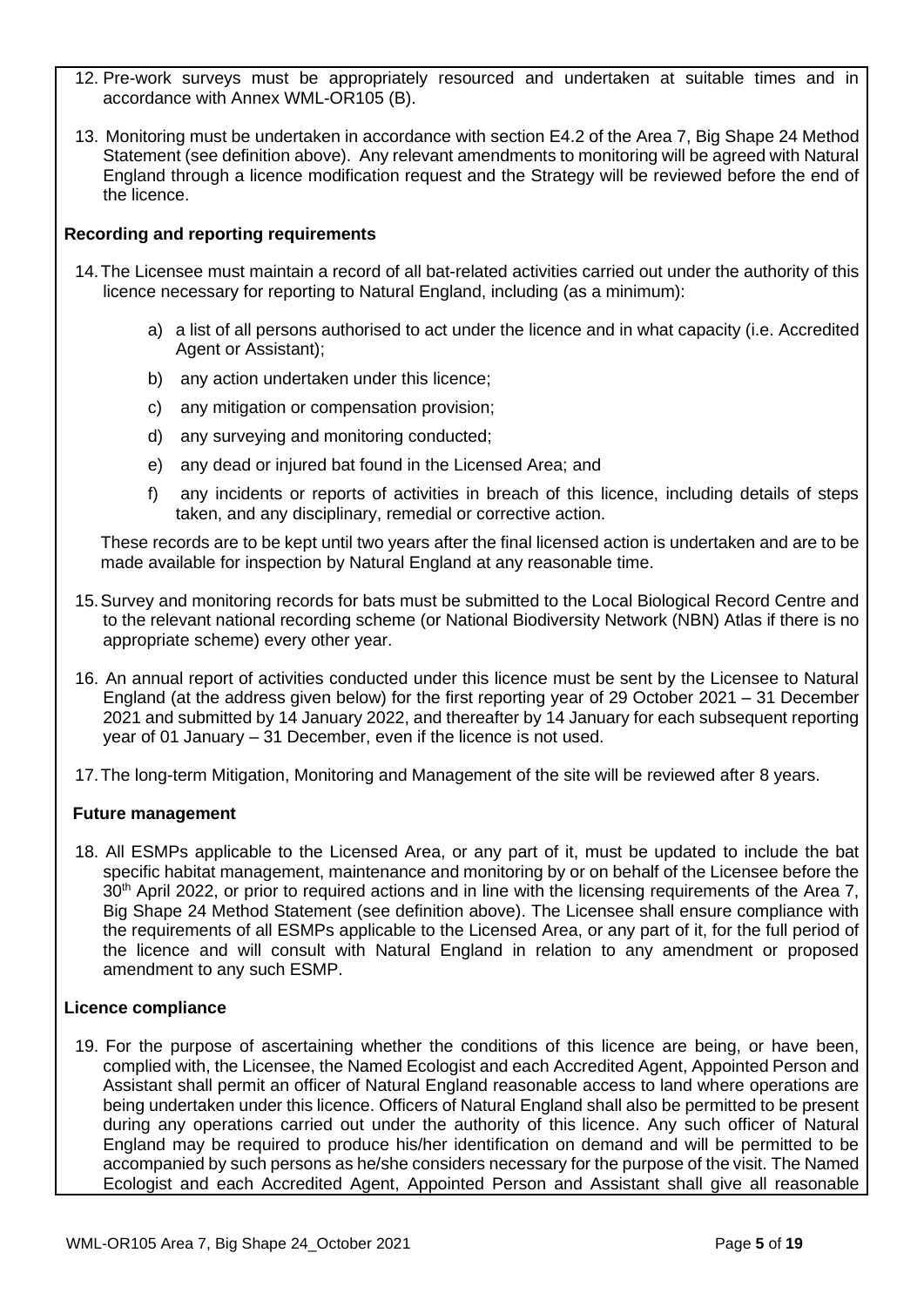- 12. Pre-work surveys must be appropriately resourced and undertaken at suitable times and in accordance with Annex WML-OR105 (B).
- 13. Monitoring must be undertaken in accordance with section E4.2 of the Area 7, Big Shape 24 Method Statement (see definition above). Any relevant amendments to monitoring will be agreed with Natural England through a licence modification request and the Strategy will be reviewed before the end of the licence.

## **Recording and reporting requirements**

- 14.The Licensee must maintain a record of all bat-related activities carried out under the authority of this licence necessary for reporting to Natural England, including (as a minimum):
	- a) a list of all persons authorised to act under the licence and in what capacity (i.e. Accredited Agent or Assistant);
	- b) any action undertaken under this licence;
	- c) any mitigation or compensation provision;
	- d) any surveying and monitoring conducted;
	- e) any dead or injured bat found in the Licensed Area; and
	- f) any incidents or reports of activities in breach of this licence, including details of steps taken, and any disciplinary, remedial or corrective action.

These records are to be kept until two years after the final licensed action is undertaken and are to be made available for inspection by Natural England at any reasonable time.

- 15.Survey and monitoring records for bats must be submitted to the Local Biological Record Centre and to the relevant national recording scheme (or National Biodiversity Network (NBN) Atlas if there is no appropriate scheme) every other year.
- 16. An annual report of activities conducted under this licence must be sent by the Licensee to Natural England (at the address given below) for the first reporting year of 29 October 2021 – 31 December 2021 and submitted by 14 January 2022, and thereafter by 14 January for each subsequent reporting year of 01 January – 31 December, even if the licence is not used.
- 17.The long-term Mitigation, Monitoring and Management of the site will be reviewed after 8 years.

## **Future management**

18. All ESMPs applicable to the Licensed Area, or any part of it, must be updated to include the bat specific habitat management, maintenance and monitoring by or on behalf of the Licensee before the 30<sup>th</sup> April 2022, or prior to required actions and in line with the licensing requirements of the Area 7, Big Shape 24 Method Statement (see definition above). The Licensee shall ensure compliance with the requirements of all ESMPs applicable to the Licensed Area, or any part of it, for the full period of the licence and will consult with Natural England in relation to any amendment or proposed amendment to any such ESMP.

## **Licence compliance**

19. For the purpose of ascertaining whether the conditions of this licence are being, or have been, complied with, the Licensee, the Named Ecologist and each Accredited Agent, Appointed Person and Assistant shall permit an officer of Natural England reasonable access to land where operations are being undertaken under this licence. Officers of Natural England shall also be permitted to be present during any operations carried out under the authority of this licence. Any such officer of Natural England may be required to produce his/her identification on demand and will be permitted to be accompanied by such persons as he/she considers necessary for the purpose of the visit. The Named Ecologist and each Accredited Agent, Appointed Person and Assistant shall give all reasonable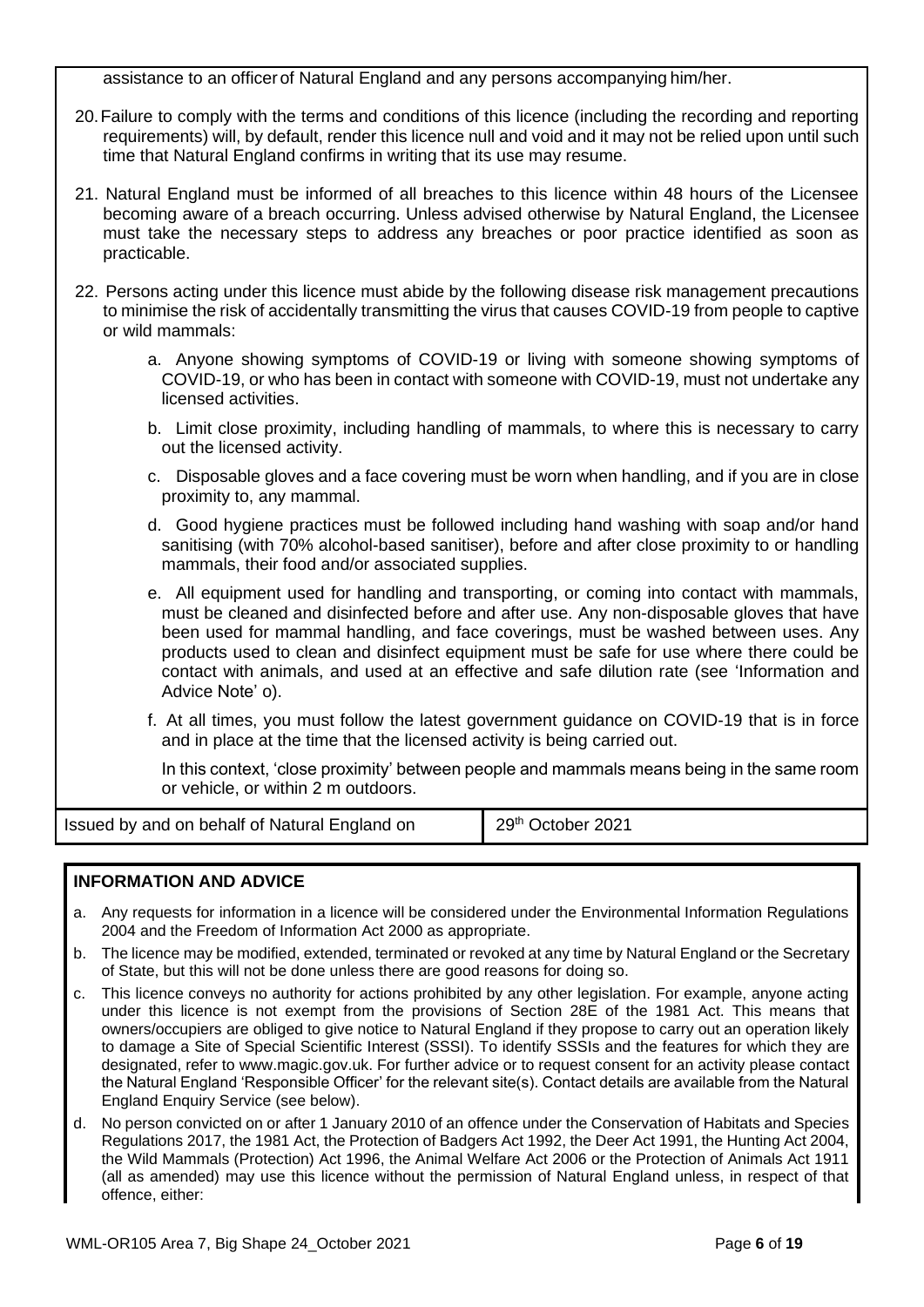assistance to an officerof Natural England and any persons accompanying him/her.

- 20.Failure to comply with the terms and conditions of this licence (including the recording and reporting requirements) will, by default, render this licence null and void and it may not be relied upon until such time that Natural England confirms in writing that its use may resume.
- 21. Natural England must be informed of all breaches to this licence within 48 hours of the Licensee becoming aware of a breach occurring. Unless advised otherwise by Natural England, the Licensee must take the necessary steps to address any breaches or poor practice identified as soon as practicable.
- 22. Persons acting under this licence must abide by the following disease risk management precautions to minimise the risk of accidentally transmitting the virus that causes COVID-19 from people to captive or wild mammals:
	- a. Anyone showing symptoms of COVID-19 or living with someone showing symptoms of COVID-19, or who has been in contact with someone with COVID-19, must not undertake any licensed activities.
	- b. Limit close proximity, including handling of mammals, to where this is necessary to carry out the licensed activity.
	- c. Disposable gloves and a face covering must be worn when handling, and if you are in close proximity to, any mammal.
	- d. Good hygiene practices must be followed including hand washing with soap and/or hand sanitising (with 70% alcohol-based sanitiser), before and after close proximity to or handling mammals, their food and/or associated supplies.
	- e. All equipment used for handling and transporting, or coming into contact with mammals, must be cleaned and disinfected before and after use. Any non-disposable gloves that have been used for mammal handling, and face coverings, must be washed between uses. Any products used to clean and disinfect equipment must be safe for use where there could be contact with animals, and used at an effective and safe dilution rate (see 'Information and Advice Note' o).
	- f. At all times, you must follow the latest government guidance on COVID-19 that is in force and in place at the time that the licensed activity is being carried out.

In this context, 'close proximity' between people and mammals means being in the same room or vehicle, or within 2 m outdoors.

Issued by and on behalf of Natural England on 29th October 2021

## **INFORMATION AND ADVICE**

- a. Any requests for information in a licence will be considered under the Environmental Information Regulations 2004 and the Freedom of Information Act 2000 as appropriate.
- b. The licence may be modified, extended, terminated or revoked at any time by Natural England or the Secretary of State, but this will not be done unless there are good reasons for doing so.
- c. This licence conveys no authority for actions prohibited by any other legislation. For example, anyone acting under this licence is not exempt from the provisions of Section 28E of the 1981 Act. This means that owners/occupiers are obliged to give notice to Natural England if they propose to carry out an operation likely to damage a Site of Special Scientific Interest (SSSI). To identify SSSIs and the features for which they are designated, refer to www.magic.gov.uk. For further advice or to request consent for an activity please contact the Natural England 'Responsible Officer' for the relevant site(s). Contact details are available from the Natural England Enquiry Service (see below).
- d. No person convicted on or after 1 January 2010 of an offence under the Conservation of Habitats and Species Regulations 2017, the 1981 Act, the Protection of Badgers Act 1992, the Deer Act 1991, the Hunting Act 2004, the Wild Mammals (Protection) Act 1996, the Animal Welfare Act 2006 or the Protection of Animals Act 1911 (all as amended) may use this licence without the permission of Natural England unless, in respect of that offence, either: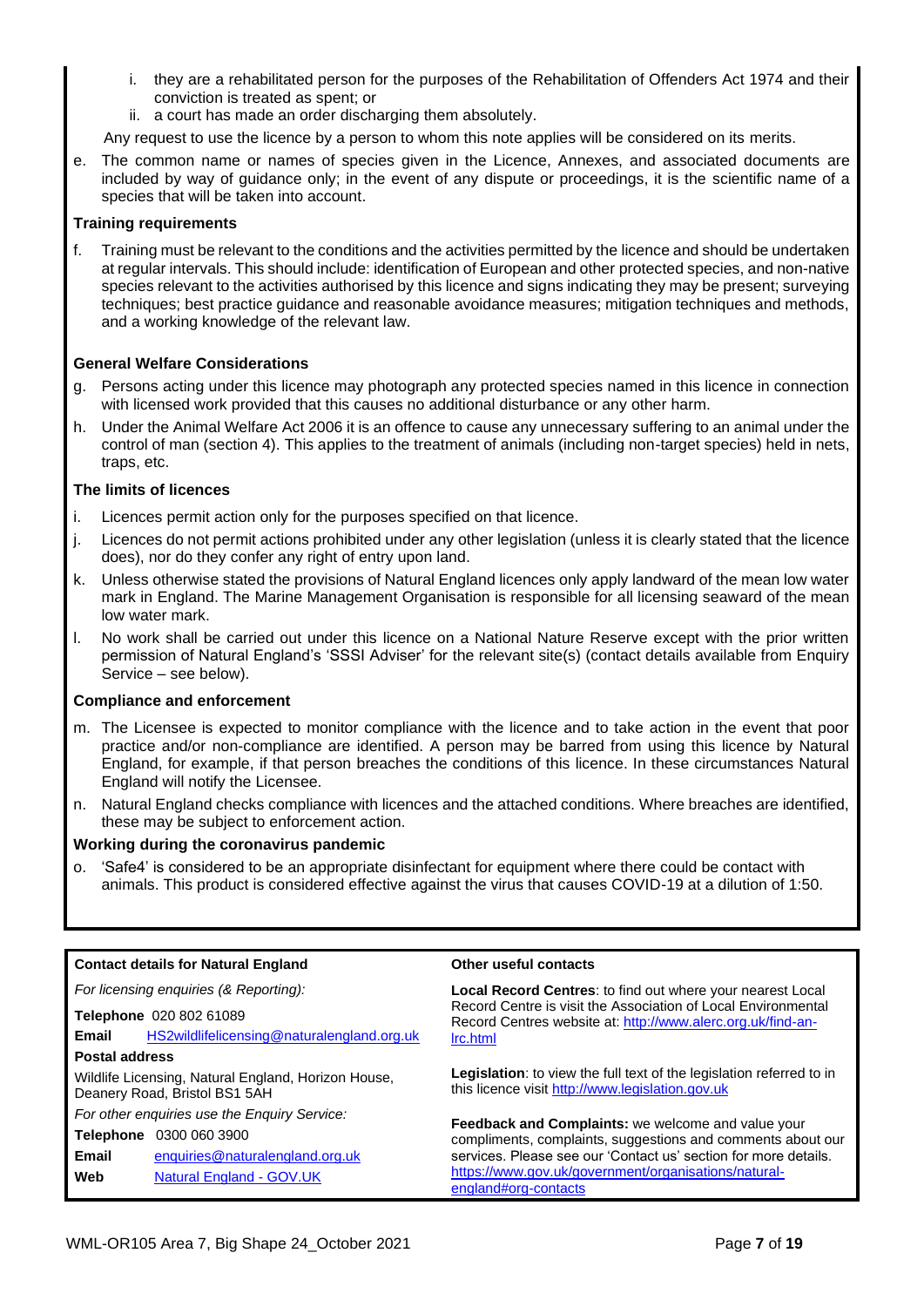- i. they are a rehabilitated person for the purposes of the Rehabilitation of Offenders Act 1974 and their conviction is treated as spent; or
- ii. a court has made an order discharging them absolutely.

Any request to use the licence by a person to whom this note applies will be considered on its merits.

e. The common name or names of species given in the Licence, Annexes, and associated documents are included by way of guidance only; in the event of any dispute or proceedings, it is the scientific name of a species that will be taken into account.

#### **Training requirements**

f. Training must be relevant to the conditions and the activities permitted by the licence and should be undertaken at regular intervals. This should include: identification of European and other protected species, and non-native species relevant to the activities authorised by this licence and signs indicating they may be present; surveying techniques; best practice guidance and reasonable avoidance measures; mitigation techniques and methods, and a working knowledge of the relevant law.

#### **General Welfare Considerations**

- g. Persons acting under this licence may photograph any protected species named in this licence in connection with licensed work provided that this causes no additional disturbance or any other harm.
- h. Under the Animal Welfare Act 2006 it is an offence to cause any unnecessary suffering to an animal under the control of man (section 4). This applies to the treatment of animals (including non-target species) held in nets, traps, etc.

#### **The limits of licences**

- i. Licences permit action only for the purposes specified on that licence.
- j. Licences do not permit actions prohibited under any other legislation (unless it is clearly stated that the licence does), nor do they confer any right of entry upon land.
- k. Unless otherwise stated the provisions of Natural England licences only apply landward of the mean low water mark in England. The Marine Management Organisation is responsible for all licensing seaward of the mean low water mark.
- l. No work shall be carried out under this licence on a National Nature Reserve except with the prior written permission of Natural England's 'SSSI Adviser' for the relevant site(s) (contact details available from Enquiry Service – see below).

#### **Compliance and enforcement**

- m. The Licensee is expected to monitor compliance with the licence and to take action in the event that poor practice and/or non-compliance are identified. A person may be barred from using this licence by Natural England, for example, if that person breaches the conditions of this licence. In these circumstances Natural England will notify the Licensee.
- n. Natural England checks compliance with licences and the attached conditions. Where breaches are identified, these may be subject to enforcement action.

#### **Working during the coronavirus pandemic**

o. 'Safe4' is considered to be an appropriate disinfectant for equipment where there could be contact with animals. This product is considered effective against the virus that causes COVID-19 at a dilution of 1:50.

|                       | <b>Contact details for Natural England</b>                                           | Other useful contacts                                                                                                                                                                                                                                                |  |  |  |
|-----------------------|--------------------------------------------------------------------------------------|----------------------------------------------------------------------------------------------------------------------------------------------------------------------------------------------------------------------------------------------------------------------|--|--|--|
|                       | For licensing enquiries (& Reporting):                                               | <b>Local Record Centres:</b> to find out where your nearest Local                                                                                                                                                                                                    |  |  |  |
|                       | Telephone 020 802 61089                                                              | Record Centre is visit the Association of Local Environmental<br>Record Centres website at: http://www.alerc.org.uk/find-an-                                                                                                                                         |  |  |  |
| Email                 | HS2wildlifelicensing@naturalengland.org.uk                                           | Irc.html                                                                                                                                                                                                                                                             |  |  |  |
| <b>Postal address</b> |                                                                                      |                                                                                                                                                                                                                                                                      |  |  |  |
|                       | Wildlife Licensing, Natural England, Horizon House,<br>Deanery Road, Bristol BS1 5AH | <b>Legislation:</b> to view the full text of the legislation referred to in<br>this licence visit http://www.legislation.gov.uk                                                                                                                                      |  |  |  |
|                       | For other enquiries use the Enquiry Service:                                         | Feedback and Complaints: we welcome and value your<br>compliments, complaints, suggestions and comments about our<br>services. Please see our 'Contact us' section for more details.<br>https://www.gov.uk/government/organisations/natural-<br>england#org-contacts |  |  |  |
| <b>Telephone</b>      | 0300 060 3900                                                                        |                                                                                                                                                                                                                                                                      |  |  |  |
| Email                 | enquiries@naturalengland.org.uk                                                      |                                                                                                                                                                                                                                                                      |  |  |  |
| Web                   | Natural England - GOV.UK                                                             |                                                                                                                                                                                                                                                                      |  |  |  |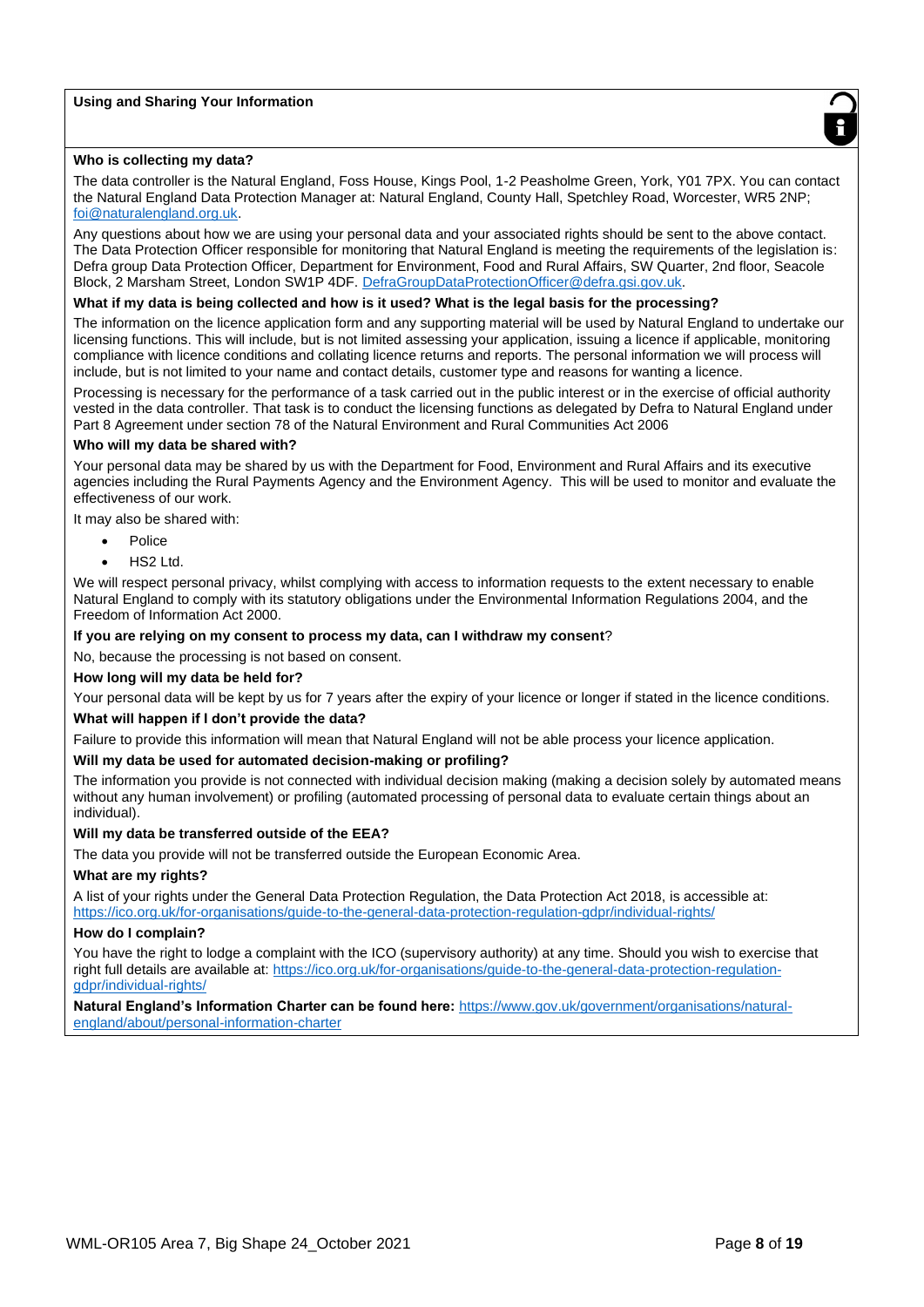#### **Using and Sharing Your Information**



#### **Who is collecting my data?**

The data controller is the Natural England, Foss House, Kings Pool, 1-2 Peasholme Green, York, Y01 7PX. You can contact the Natural England Data Protection Manager at: Natural England, County Hall, Spetchley Road, Worcester, WR5 2NP; foi@naturalengland.org.uk.

Any questions about how we are using your personal data and your associated rights should be sent to the above contact. The Data Protection Officer responsible for monitoring that Natural England is meeting the requirements of the legislation is: Defra group Data Protection Officer, Department for Environment, Food and Rural Affairs, SW Quarter, 2nd floor, Seacole Block, 2 Marsham Street, London SW1P 4DF. DefraGroupDataProtectionOfficer@defra.gsi.gov.uk.

#### **What if my data is being collected and how is it used? What is the legal basis for the processing?**

The information on the licence application form and any supporting material will be used by Natural England to undertake our licensing functions. This will include, but is not limited assessing your application, issuing a licence if applicable, monitoring compliance with licence conditions and collating licence returns and reports. The personal information we will process will include, but is not limited to your name and contact details, customer type and reasons for wanting a licence.

Processing is necessary for the performance of a task carried out in the public interest or in the exercise of official authority vested in the data controller. That task is to conduct the licensing functions as delegated by Defra to Natural England under Part 8 Agreement under section 78 of the Natural Environment and Rural Communities Act 2006

#### **Who will my data be shared with?**

Your personal data may be shared by us with the Department for Food, Environment and Rural Affairs and its executive agencies including the Rural Payments Agency and the Environment Agency. This will be used to monitor and evaluate the effectiveness of our work.

It may also be shared with:

- **Police**
- HS2 Ltd.

We will respect personal privacy, whilst complying with access to information requests to the extent necessary to enable Natural England to comply with its statutory obligations under the Environmental Information Regulations 2004, and the Freedom of Information Act 2000.

#### **If you are relying on my consent to process my data, can I withdraw my consent**?

No, because the processing is not based on consent.

#### **How long will my data be held for?**

Your personal data will be kept by us for 7 years after the expiry of your licence or longer if stated in the licence conditions.

#### **What will happen if I don't provide the data?**

Failure to provide this information will mean that Natural England will not be able process your licence application.

#### **Will my data be used for automated decision-making or profiling?**

The information you provide is not connected with individual decision making (making a decision solely by automated means without any human involvement) or profiling (automated processing of personal data to evaluate certain things about an individual).

#### **Will my data be transferred outside of the EEA?**

The data you provide will not be transferred outside the European Economic Area.

#### **What are my rights?**

A list of your rights under the General Data Protection Regulation, the Data Protection Act 2018, is accessible at: https://ico.org.uk/for-organisations/guide-to-the-general-data-protection-regulation-gdpr/individual-rights/

#### **How do I complain?**

You have the right to lodge a complaint with the ICO (supervisory authority) at any time. Should you wish to exercise that right full details are available at: https://ico.org.uk/for-organisations/guide-to-the-general-data-protection-regulationgdpr/individual-rights/

#### **Natural England's Information Charter can be found here:** https://www.gov.uk/government/organisations/naturalengland/about/personal-information-charter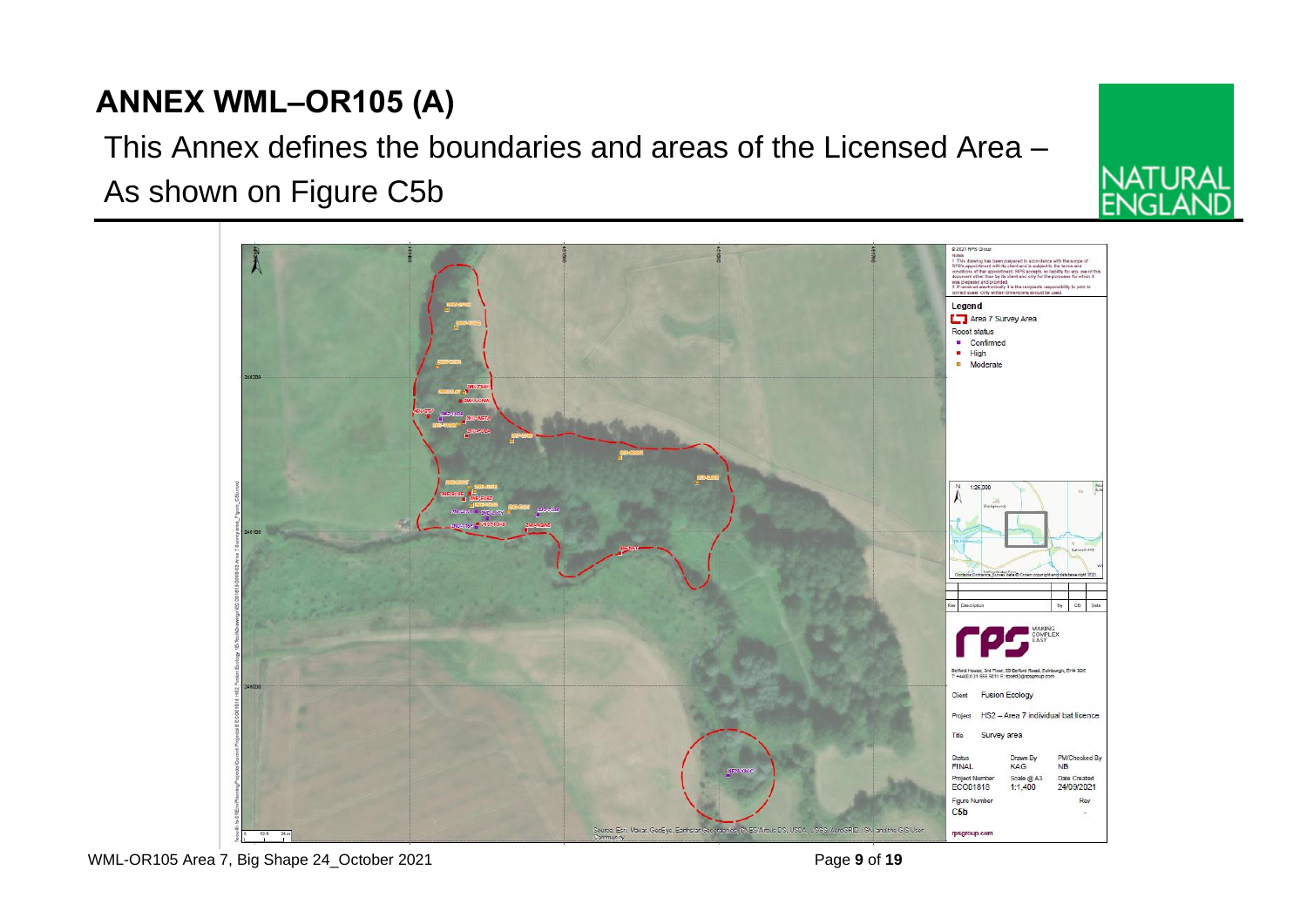



## This Annex defines the boundaries and areas of the Licensed Area – As shown on Figure C5b

WML-OR105 Area 7, Big Shape 24\_October 2021 **Page 9** of **19** Page 9 of 19

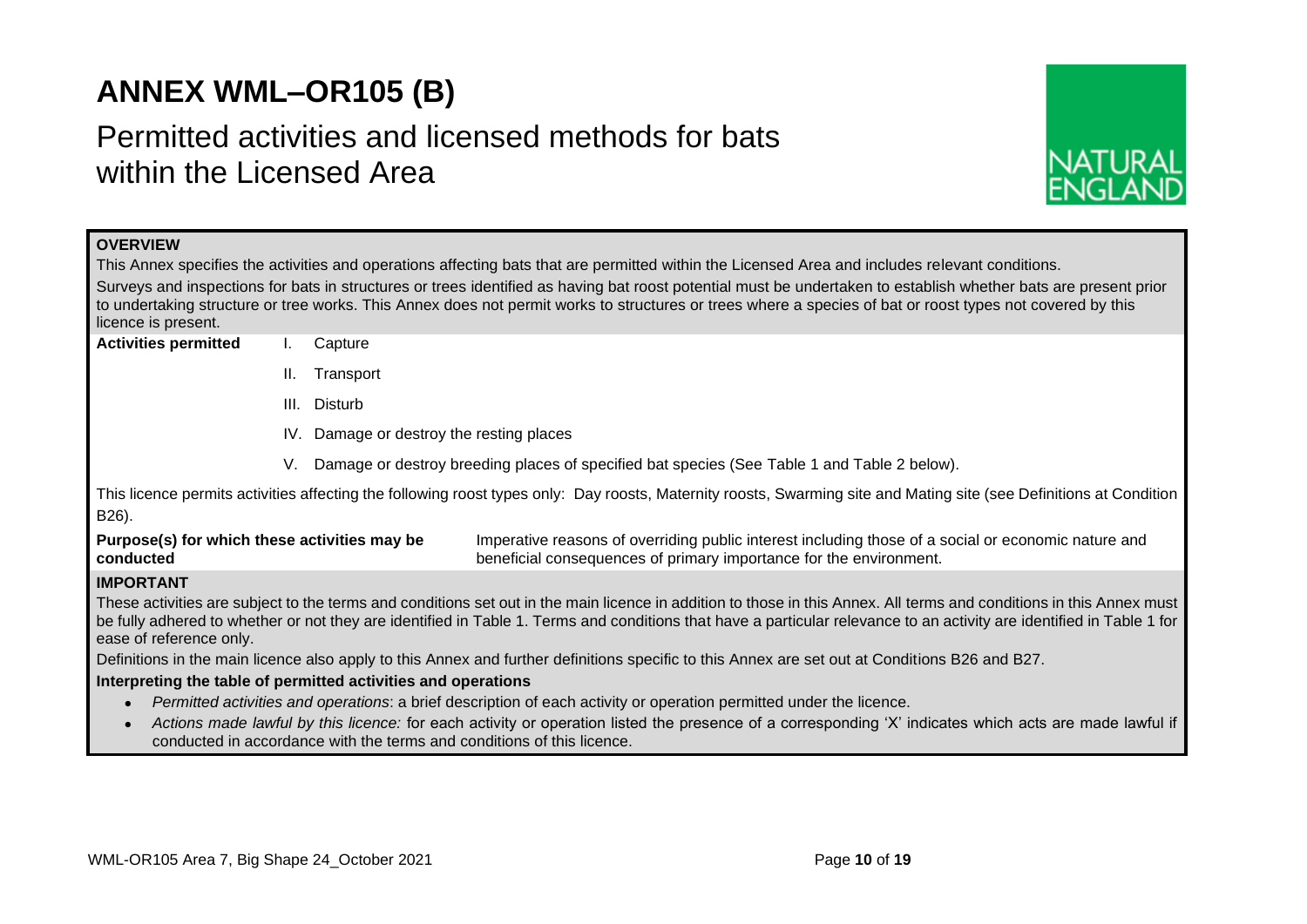## **ANNEX WML–OR105 (B)**

## Permitted activities and licensed methods for bats within the Licensed Area



| <b>OVERVIEW</b>                              |                                                                                                                                                                 |                                                               |                                                                                                                                                                                                                                  |  |  |  |  |  |  |
|----------------------------------------------|-----------------------------------------------------------------------------------------------------------------------------------------------------------------|---------------------------------------------------------------|----------------------------------------------------------------------------------------------------------------------------------------------------------------------------------------------------------------------------------|--|--|--|--|--|--|
|                                              | This Annex specifies the activities and operations affecting bats that are permitted within the Licensed Area and includes relevant conditions.                 |                                                               |                                                                                                                                                                                                                                  |  |  |  |  |  |  |
|                                              | Surveys and inspections for bats in structures or trees identified as having bat roost potential must be undertaken to establish whether bats are present prior |                                                               |                                                                                                                                                                                                                                  |  |  |  |  |  |  |
| licence is present.                          |                                                                                                                                                                 |                                                               | to undertaking structure or tree works. This Annex does not permit works to structures or trees where a species of bat or roost types not covered by this                                                                        |  |  |  |  |  |  |
| <b>Activities permitted</b>                  | Ъ.                                                                                                                                                              | Capture                                                       |                                                                                                                                                                                                                                  |  |  |  |  |  |  |
|                                              |                                                                                                                                                                 |                                                               |                                                                                                                                                                                                                                  |  |  |  |  |  |  |
|                                              | Ш.                                                                                                                                                              | Transport                                                     |                                                                                                                                                                                                                                  |  |  |  |  |  |  |
|                                              | III.                                                                                                                                                            | Disturb                                                       |                                                                                                                                                                                                                                  |  |  |  |  |  |  |
|                                              |                                                                                                                                                                 |                                                               | IV. Damage or destroy the resting places                                                                                                                                                                                         |  |  |  |  |  |  |
|                                              | V.                                                                                                                                                              |                                                               | Damage or destroy breeding places of specified bat species (See Table 1 and Table 2 below).                                                                                                                                      |  |  |  |  |  |  |
|                                              |                                                                                                                                                                 |                                                               | This licence permits activities affecting the following roost types only: Day roosts, Maternity roosts, Swarming site and Mating site (see Definitions at Condition                                                              |  |  |  |  |  |  |
| B26).                                        |                                                                                                                                                                 |                                                               |                                                                                                                                                                                                                                  |  |  |  |  |  |  |
| Purpose(s) for which these activities may be |                                                                                                                                                                 |                                                               | Imperative reasons of overriding public interest including those of a social or economic nature and                                                                                                                              |  |  |  |  |  |  |
| conducted                                    |                                                                                                                                                                 |                                                               | beneficial consequences of primary importance for the environment.                                                                                                                                                               |  |  |  |  |  |  |
| <b>IMPORTANT</b>                             |                                                                                                                                                                 |                                                               |                                                                                                                                                                                                                                  |  |  |  |  |  |  |
|                                              |                                                                                                                                                                 |                                                               | These activities are subject to the terms and conditions set out in the main licence in addition to those in this Annex. All terms and conditions in this Annex must                                                             |  |  |  |  |  |  |
|                                              |                                                                                                                                                                 |                                                               | be fully adhered to whether or not they are identified in Table 1. Terms and conditions that have a particular relevance to an activity are identified in Table 1 for                                                            |  |  |  |  |  |  |
| ease of reference only.                      |                                                                                                                                                                 |                                                               |                                                                                                                                                                                                                                  |  |  |  |  |  |  |
|                                              |                                                                                                                                                                 |                                                               | Definitions in the main licence also apply to this Annex and further definitions specific to this Annex are set out at Conditions B26 and B27.                                                                                   |  |  |  |  |  |  |
|                                              |                                                                                                                                                                 | Interpreting the table of permitted activities and operations |                                                                                                                                                                                                                                  |  |  |  |  |  |  |
|                                              |                                                                                                                                                                 |                                                               | Permitted activities and operations: a brief description of each activity or operation permitted under the licence.                                                                                                              |  |  |  |  |  |  |
|                                              |                                                                                                                                                                 |                                                               | Actions made lawful by this licence: for each activity or operation listed the presence of a corresponding 'X' indicates which acts are made lawful if<br>conducted in accordance with the terms and conditions of this licence. |  |  |  |  |  |  |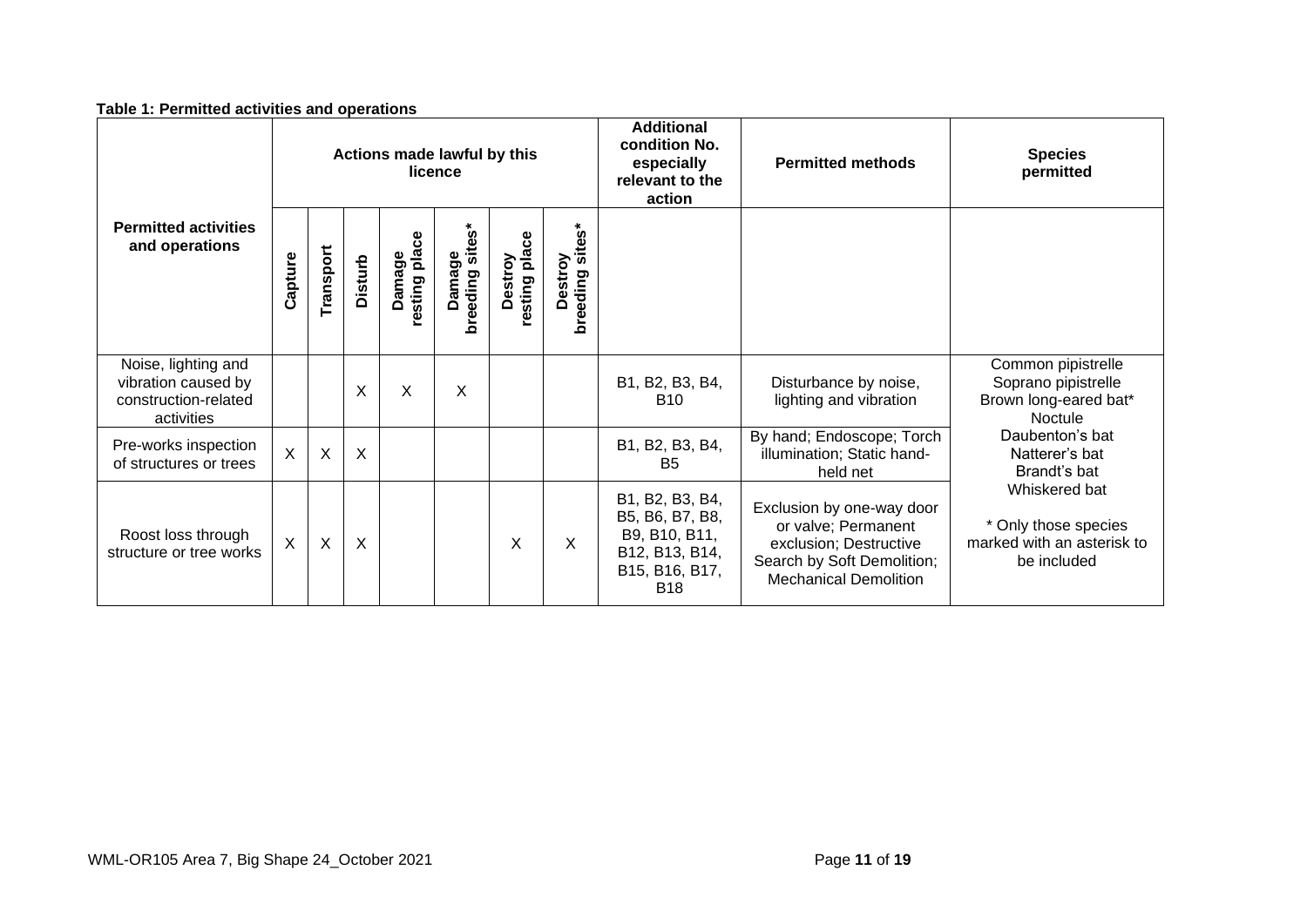| Actions made lawful by this<br>licence                                           |          |                           | <b>Additional</b><br>condition No.<br>especially<br>relevant to the<br>action | <b>Permitted methods</b> | <b>Species</b><br>permitted         |                          |                               |                                                                                                       |                                                                                                                                          |                                                                                    |
|----------------------------------------------------------------------------------|----------|---------------------------|-------------------------------------------------------------------------------|--------------------------|-------------------------------------|--------------------------|-------------------------------|-------------------------------------------------------------------------------------------------------|------------------------------------------------------------------------------------------------------------------------------------------|------------------------------------------------------------------------------------|
| <b>Permitted activities</b><br>and operations                                    | Capture  | Transport                 | <b>Disturb</b>                                                                | Damage<br>resting place  | $\ast$<br>Damage<br>breeding sites* | resting place<br>Destroy | sites*<br>Destroy<br>breeding |                                                                                                       |                                                                                                                                          |                                                                                    |
| Noise, lighting and<br>vibration caused by<br>construction-related<br>activities |          |                           | X                                                                             | X                        | X                                   |                          |                               | B1, B2, B3, B4,<br><b>B10</b>                                                                         | Disturbance by noise,<br>lighting and vibration                                                                                          | Common pipistrelle<br>Soprano pipistrelle<br>Brown long-eared bat*<br>Noctule      |
| Pre-works inspection<br>of structures or trees                                   | $\times$ | $\boldsymbol{\mathsf{X}}$ | $\boldsymbol{\mathsf{X}}$                                                     |                          |                                     |                          |                               | B1, B2, B3, B4,<br>B <sub>5</sub>                                                                     | By hand; Endoscope; Torch<br>illumination; Static hand-<br>held net                                                                      | Daubenton's bat<br>Natterer's bat<br>Brandt's bat                                  |
| Roost loss through<br>structure or tree works                                    | $\times$ | $\boldsymbol{X}$          | X                                                                             |                          |                                     | X                        | X                             | B1, B2, B3, B4,<br>B5, B6, B7, B8,<br>B9, B10, B11,<br>B12, B13, B14,<br>B15, B16, B17,<br><b>B18</b> | Exclusion by one-way door<br>or valve; Permanent<br>exclusion; Destructive<br>Search by Soft Demolition;<br><b>Mechanical Demolition</b> | Whiskered bat<br>* Only those species<br>marked with an asterisk to<br>be included |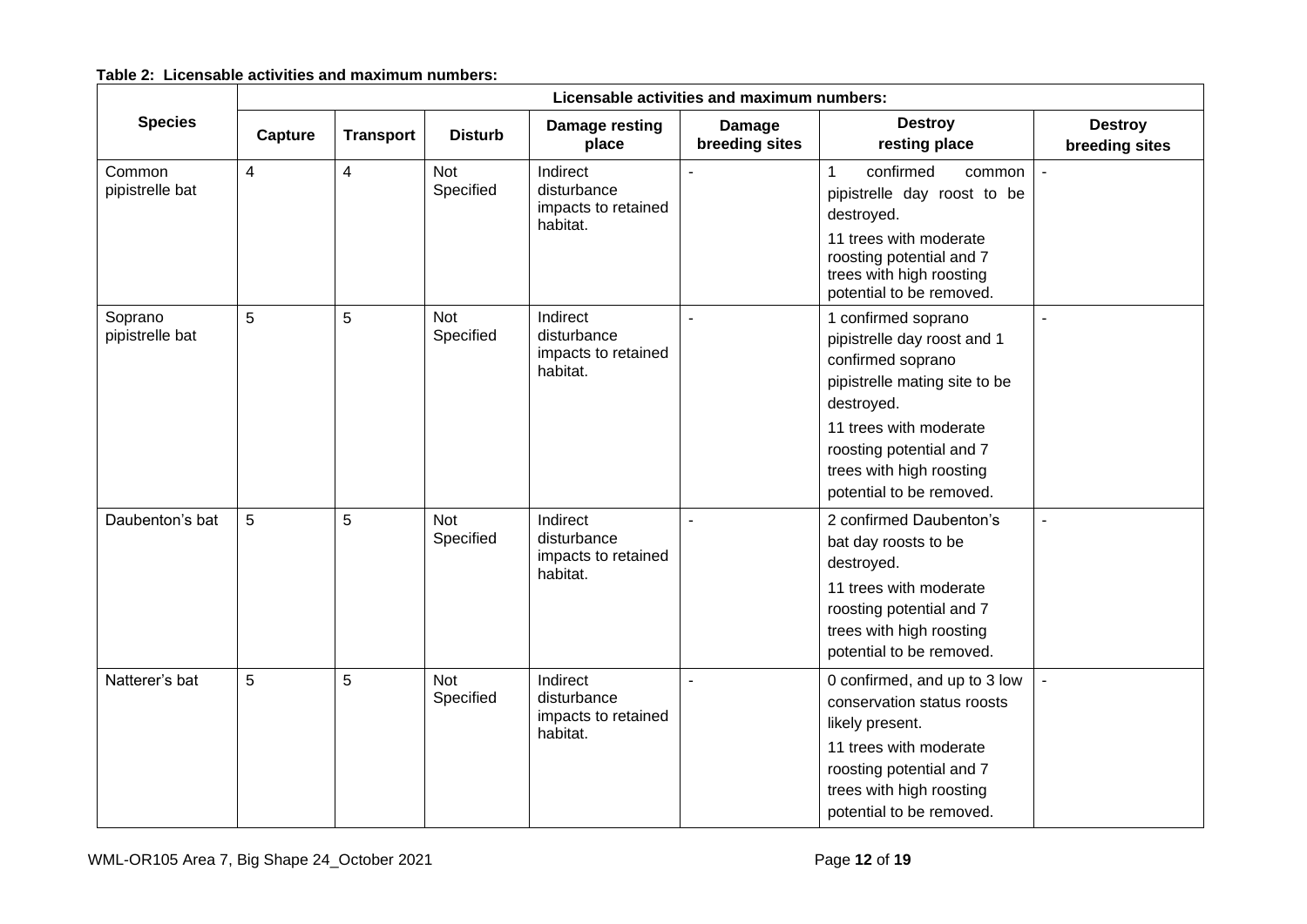## **Table 2: Licensable activities and maximum numbers:**

|                            | Licensable activities and maximum numbers: |                  |                         |                                                            |                          |                                                                                                                                                                                                                                      |                                  |  |  |  |  |
|----------------------------|--------------------------------------------|------------------|-------------------------|------------------------------------------------------------|--------------------------|--------------------------------------------------------------------------------------------------------------------------------------------------------------------------------------------------------------------------------------|----------------------------------|--|--|--|--|
| <b>Species</b>             | Capture                                    | <b>Transport</b> | <b>Disturb</b>          | Damage resting<br>place                                    | Damage<br>breeding sites | <b>Destroy</b><br>resting place                                                                                                                                                                                                      | <b>Destroy</b><br>breeding sites |  |  |  |  |
| Common<br>pipistrelle bat  | $\overline{4}$                             | 4                | <b>Not</b><br>Specified | Indirect<br>disturbance<br>impacts to retained<br>habitat. |                          | $\mathbf{1}$<br>confirmed<br>common<br>pipistrelle day roost to be<br>destroyed.<br>11 trees with moderate<br>roosting potential and 7<br>trees with high roosting<br>potential to be removed.                                       | $\sim$                           |  |  |  |  |
| Soprano<br>pipistrelle bat | 5                                          | 5                | Not<br>Specified        | Indirect<br>disturbance<br>impacts to retained<br>habitat. |                          | 1 confirmed soprano<br>pipistrelle day roost and 1<br>confirmed soprano<br>pipistrelle mating site to be<br>destroyed.<br>11 trees with moderate<br>roosting potential and 7<br>trees with high roosting<br>potential to be removed. | $\blacksquare$                   |  |  |  |  |
| Daubenton's bat            | $\overline{5}$                             | 5                | <b>Not</b><br>Specified | Indirect<br>disturbance<br>impacts to retained<br>habitat. |                          | 2 confirmed Daubenton's<br>bat day roosts to be<br>destroyed.<br>11 trees with moderate<br>roosting potential and 7<br>trees with high roosting<br>potential to be removed.                                                          |                                  |  |  |  |  |
| Natterer's bat             | 5                                          | 5                | <b>Not</b><br>Specified | Indirect<br>disturbance<br>impacts to retained<br>habitat. |                          | 0 confirmed, and up to 3 low<br>conservation status roosts<br>likely present.<br>11 trees with moderate<br>roosting potential and 7<br>trees with high roosting<br>potential to be removed.                                          | $\blacksquare$                   |  |  |  |  |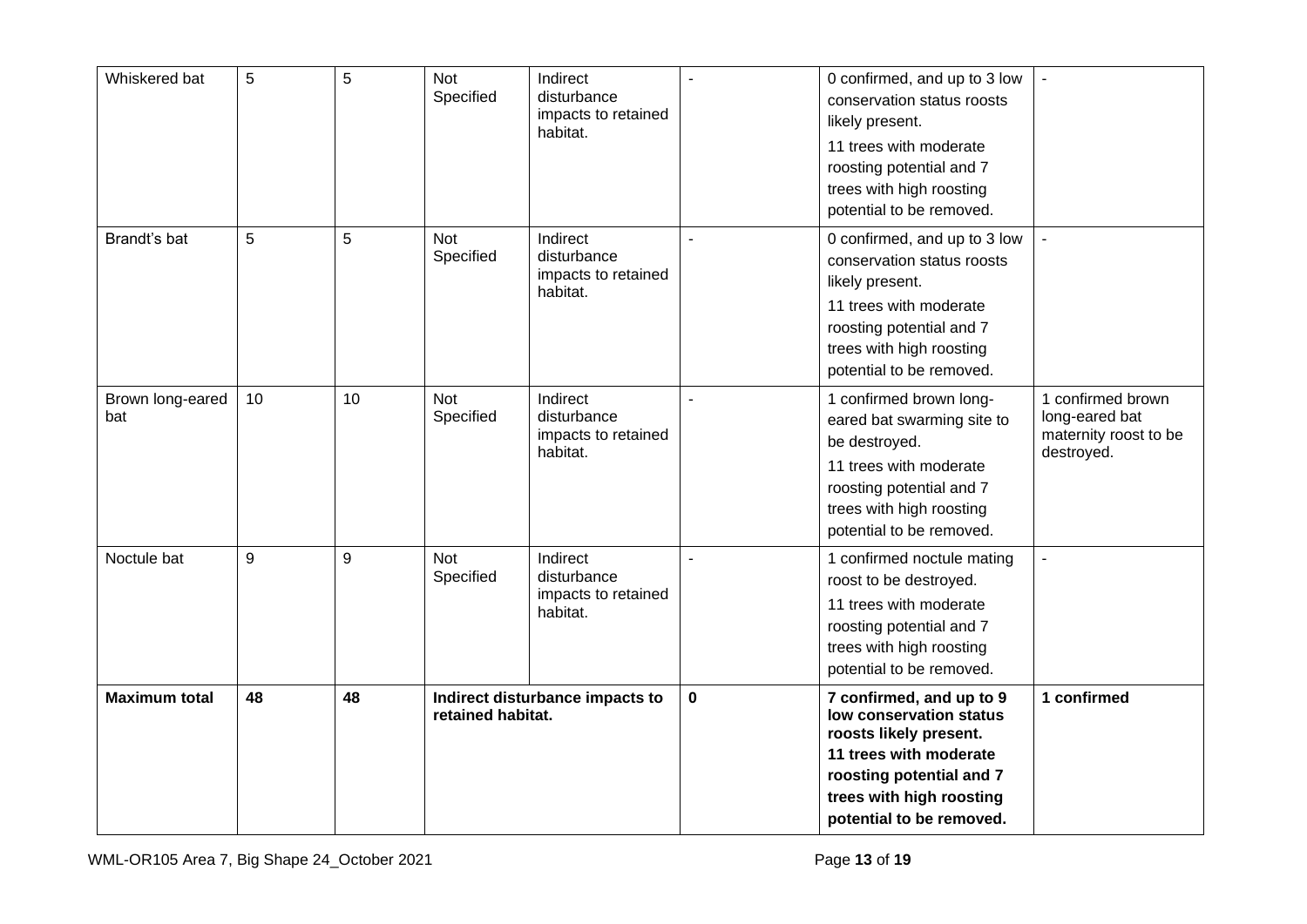| Whiskered bat           | 5  | 5  | Not<br>Specified                                     | Indirect<br>disturbance<br>impacts to retained<br>habitat. | $\sim$      | 0 confirmed, and up to 3 low<br>conservation status roosts<br>likely present.<br>11 trees with moderate<br>roosting potential and 7<br>trees with high roosting<br>potential to be removed. | $\blacksquare$                                                             |
|-------------------------|----|----|------------------------------------------------------|------------------------------------------------------------|-------------|---------------------------------------------------------------------------------------------------------------------------------------------------------------------------------------------|----------------------------------------------------------------------------|
| Brandt's bat            | 5  | 5  | <b>Not</b><br>Specified                              | Indirect<br>disturbance<br>impacts to retained<br>habitat. | ÷.          | 0 confirmed, and up to 3 low<br>conservation status roosts<br>likely present.<br>11 trees with moderate<br>roosting potential and 7<br>trees with high roosting<br>potential to be removed. | $\overline{a}$                                                             |
| Brown long-eared<br>bat | 10 | 10 | <b>Not</b><br>Specified                              | Indirect<br>disturbance<br>impacts to retained<br>habitat. | ÷,          | 1 confirmed brown long-<br>eared bat swarming site to<br>be destroyed.<br>11 trees with moderate<br>roosting potential and 7<br>trees with high roosting<br>potential to be removed.        | 1 confirmed brown<br>long-eared bat<br>maternity roost to be<br>destroyed. |
| Noctule bat             | 9  | 9  | Not<br>Specified                                     | Indirect<br>disturbance<br>impacts to retained<br>habitat. |             | 1 confirmed noctule mating<br>roost to be destroyed.<br>11 trees with moderate<br>roosting potential and 7<br>trees with high roosting<br>potential to be removed.                          | ÷,                                                                         |
| <b>Maximum total</b>    | 48 | 48 | Indirect disturbance impacts to<br>retained habitat. |                                                            | $\mathbf 0$ | 7 confirmed, and up to 9<br>low conservation status<br>roosts likely present.<br>11 trees with moderate<br>roosting potential and 7<br>trees with high roosting<br>potential to be removed. | 1 confirmed                                                                |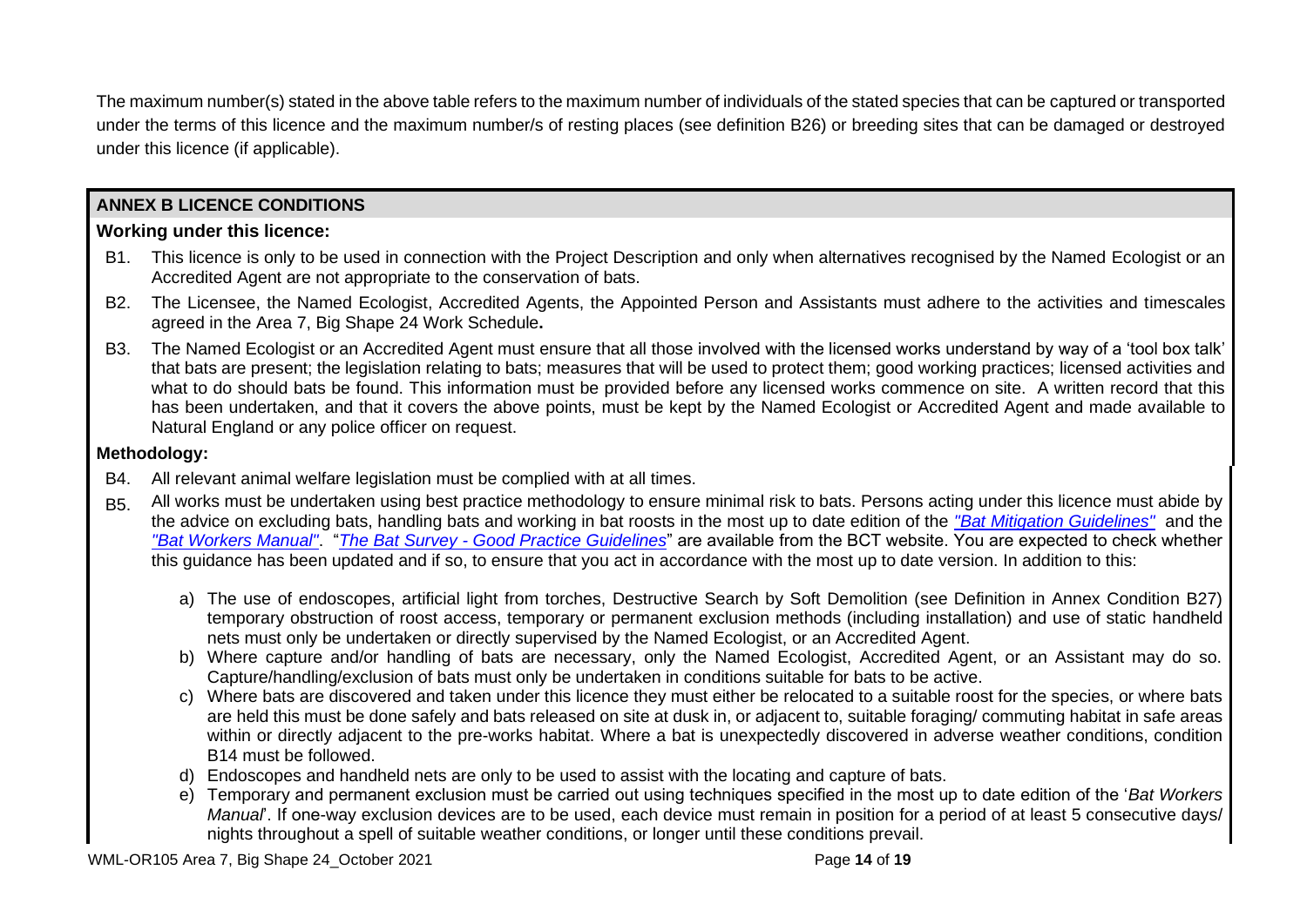The maximum number(s) stated in the above table refers to the maximum number of individuals of the stated species that can be captured or transported under the terms of this licence and the maximum number/s of resting places (see definition B26) or breeding sites that can be damaged or destroyed under this licence (if applicable).

## **ANNEX B LICENCE CONDITIONS**

## **Working under this licence:**

- B1. This licence is only to be used in connection with the Project Description and only when alternatives recognised by the Named Ecologist or an Accredited Agent are not appropriate to the conservation of bats.
- B2. The Licensee, the Named Ecologist, Accredited Agents, the Appointed Person and Assistants must adhere to the activities and timescales agreed in the Area 7, Big Shape 24 Work Schedule**.**
- B3. The Named Ecologist or an Accredited Agent must ensure that all those involved with the licensed works understand by way of a 'tool box talk' that bats are present; the legislation relating to bats; measures that will be used to protect them; good working practices; licensed activities and what to do should bats be found. This information must be provided before any licensed works commence on site. A written record that this has been undertaken, and that it covers the above points, must be kept by the Named Ecologist or Accredited Agent and made available to Natural England or any police officer on request.

## **Methodology:**

- B4. All relevant animal welfare legislation must be complied with at all times.
- B5. All works must be undertaken using best practice methodology to ensure minimal risk to bats. Persons acting under this licence must abide by the advice on excluding bats, handling bats and working in bat roosts in the most up to date edition of the *"Bat Mitigation Guidelines"* and the *"Bat Workers Manual"*. "*The Bat Survey - Good Practice Guidelines*" are available from the BCT website. You are expected to check whether this guidance has been updated and if so, to ensure that you act in accordance with the most up to date version. In addition to this:
	- a) The use of endoscopes, artificial light from torches, Destructive Search by Soft Demolition (see Definition in Annex Condition B27) temporary obstruction of roost access, temporary or permanent exclusion methods (including installation) and use of static handheld nets must only be undertaken or directly supervised by the Named Ecologist, or an Accredited Agent.
	- b) Where capture and/or handling of bats are necessary, only the Named Ecologist, Accredited Agent, or an Assistant may do so. Capture/handling/exclusion of bats must only be undertaken in conditions suitable for bats to be active.
	- c) Where bats are discovered and taken under this licence they must either be relocated to a suitable roost for the species, or where bats are held this must be done safely and bats released on site at dusk in, or adjacent to, suitable foraging/ commuting habitat in safe areas within or directly adjacent to the pre-works habitat. Where a bat is unexpectedly discovered in adverse weather conditions, condition B14 must be followed.
	- d) Endoscopes and handheld nets are only to be used to assist with the locating and capture of bats.
	- e) Temporary and permanent exclusion must be carried out using techniques specified in the most up to date edition of the '*Bat Workers Manual*'. If one-way exclusion devices are to be used, each device must remain in position for a period of at least 5 consecutive days/ nights throughout a spell of suitable weather conditions, or longer until these conditions prevail.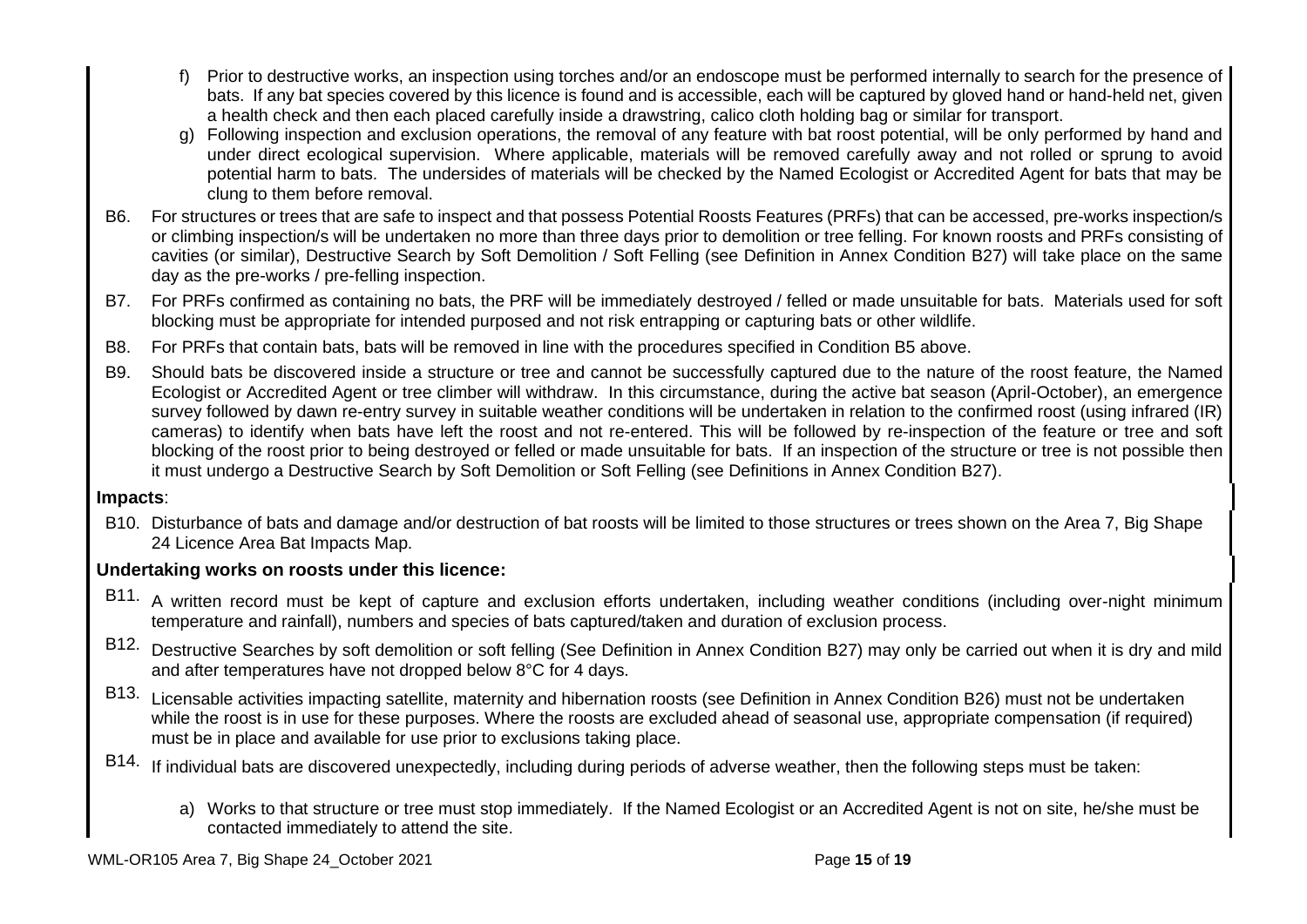- f) Prior to destructive works, an inspection using torches and/or an endoscope must be performed internally to search for the presence of bats. If any bat species covered by this licence is found and is accessible, each will be captured by gloved hand or hand-held net, given a health check and then each placed carefully inside a drawstring, calico cloth holding bag or similar for transport.
- g) Following inspection and exclusion operations, the removal of any feature with bat roost potential, will be only performed by hand and under direct ecological supervision. Where applicable, materials will be removed carefully away and not rolled or sprung to avoid potential harm to bats. The undersides of materials will be checked by the Named Ecologist or Accredited Agent for bats that may be clung to them before removal.
- B6. For structures or trees that are safe to inspect and that possess Potential Roosts Features (PRFs) that can be accessed, pre-works inspection/s or climbing inspection/s will be undertaken no more than three days prior to demolition or tree felling. For known roosts and PRFs consisting of cavities (or similar), Destructive Search by Soft Demolition / Soft Felling (see Definition in Annex Condition B27) will take place on the same day as the pre-works / pre-felling inspection.
- B7. For PRFs confirmed as containing no bats, the PRF will be immediately destroyed / felled or made unsuitable for bats. Materials used for soft blocking must be appropriate for intended purposed and not risk entrapping or capturing bats or other wildlife.
- B8. For PRFs that contain bats, bats will be removed in line with the procedures specified in Condition B5 above.
- B9. Should bats be discovered inside a structure or tree and cannot be successfully captured due to the nature of the roost feature, the Named Ecologist or Accredited Agent or tree climber will withdraw. In this circumstance, during the active bat season (April-October), an emergence survey followed by dawn re-entry survey in suitable weather conditions will be undertaken in relation to the confirmed roost (using infrared (IR) cameras) to identify when bats have left the roost and not re-entered. This will be followed by re-inspection of the feature or tree and soft blocking of the roost prior to being destroyed or felled or made unsuitable for bats. If an inspection of the structure or tree is not possible then it must undergo a Destructive Search by Soft Demolition or Soft Felling (see Definitions in Annex Condition B27).

## **Impacts**:

B10. Disturbance of bats and damage and/or destruction of bat roosts will be limited to those structures or trees shown on the Area 7, Big Shape 24 Licence Area Bat Impacts Map.

## **Undertaking works on roosts under this licence:**

- B11. A written record must be kept of capture and exclusion efforts undertaken, including weather conditions (including over-night minimum temperature and rainfall), numbers and species of bats captured/taken and duration of exclusion process.
- B12. Destructive Searches by soft demolition or soft felling (See Definition in Annex Condition B27) may only be carried out when it is dry and mild and after temperatures have not dropped below 8°C for 4 days.
- B13. Licensable activities impacting satellite, maternity and hibernation roosts (see Definition in Annex Condition B26) must not be undertaken while the roost is in use for these purposes. Where the roosts are excluded ahead of seasonal use, appropriate compensation (if required) must be in place and available for use prior to exclusions taking place.
- B14. If individual bats are discovered unexpectedly, including during periods of adverse weather, then the following steps must be taken:
	- a) Works to that structure or tree must stop immediately. If the Named Ecologist or an Accredited Agent is not on site, he/she must be contacted immediately to attend the site.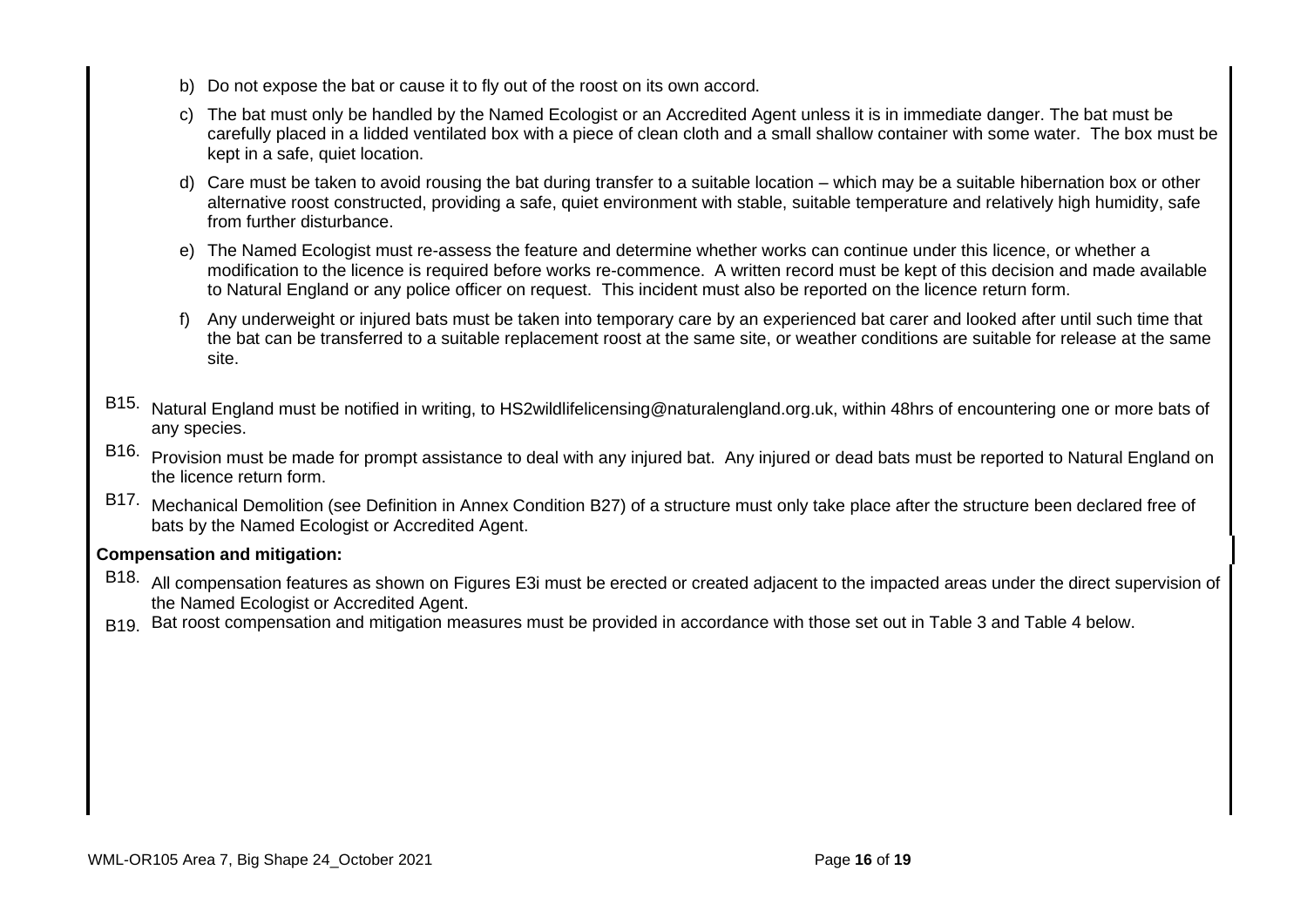- b) Do not expose the bat or cause it to fly out of the roost on its own accord.
- c) The bat must only be handled by the Named Ecologist or an Accredited Agent unless it is in immediate danger. The bat must be carefully placed in a lidded ventilated box with a piece of clean cloth and a small shallow container with some water. The box must be kept in a safe, quiet location.
- d) Care must be taken to avoid rousing the bat during transfer to a suitable location which may be a suitable hibernation box or other alternative roost constructed, providing a safe, quiet environment with stable, suitable temperature and relatively high humidity, safe from further disturbance.
- e) The Named Ecologist must re-assess the feature and determine whether works can continue under this licence, or whether a modification to the licence is required before works re-commence. A written record must be kept of this decision and made available to Natural England or any police officer on request. This incident must also be reported on the licence return form.
- f) Any underweight or injured bats must be taken into temporary care by an experienced bat carer and looked after until such time that the bat can be transferred to a suitable replacement roost at the same site, or weather conditions are suitable for release at the same site.
- B15. Natural England must be notified in writing, to HS2wildlifelicensing@naturalengland.org.uk, within 48hrs of encountering one or more bats of any species.
- B16. Provision must be made for prompt assistance to deal with any injured bat. Any injured or dead bats must be reported to Natural England on the licence return form.
- B17. Mechanical Demolition (see Definition in Annex Condition B27) of a structure must only take place after the structure been declared free of bats by the Named Ecologist or Accredited Agent.

## **Compensation and mitigation:**

- B18. All compensation features as shown on Figures E3i must be erected or created adjacent to the impacted areas under the direct supervision of the Named Ecologist or Accredited Agent.
- B19. Bat roost compensation and mitigation measures must be provided in accordance with those set out in Table 3 and Table 4 below.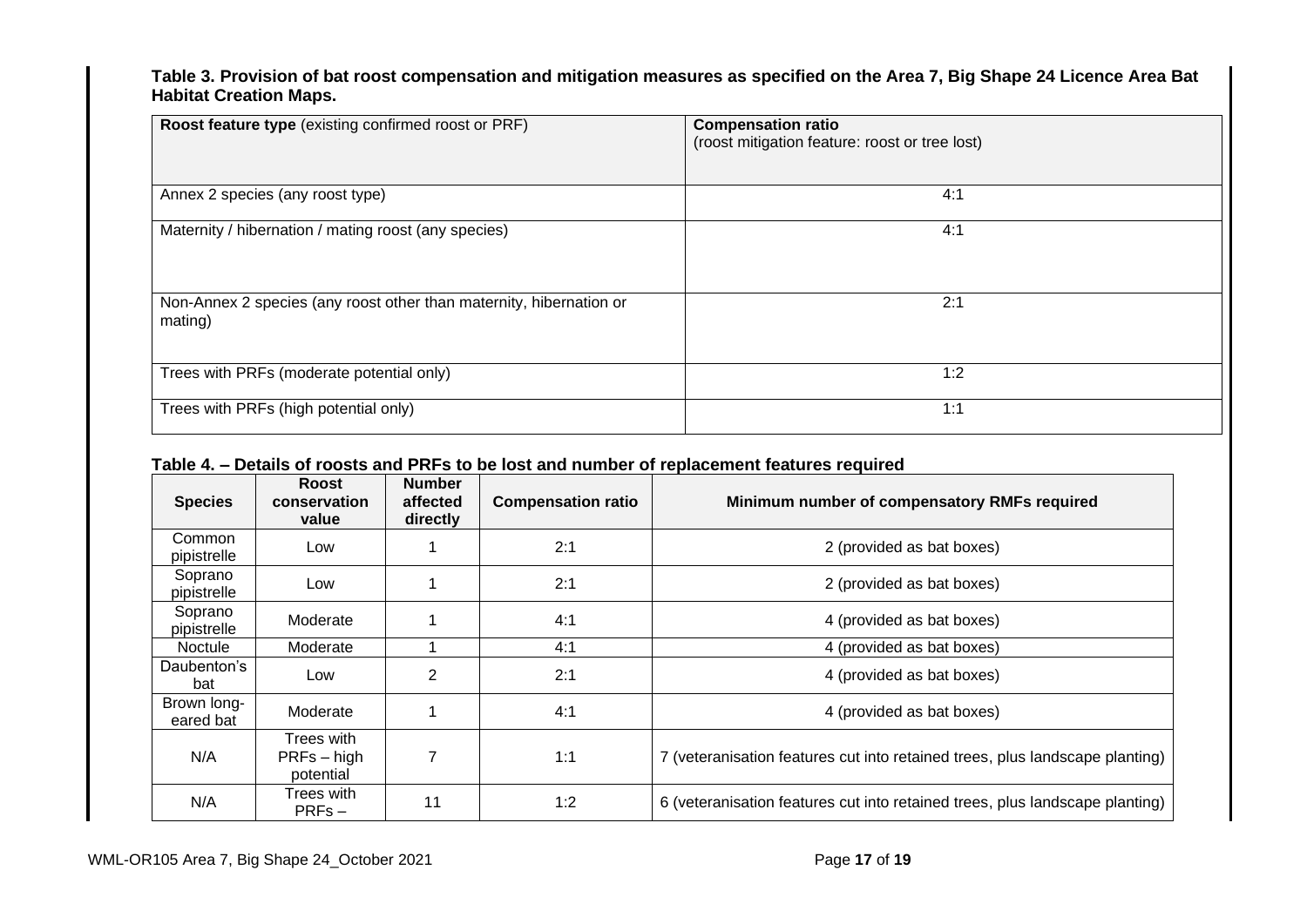## **Table 3. Provision of bat roost compensation and mitigation measures as specified on the Area 7, Big Shape 24 Licence Area Bat Habitat Creation Maps.**

| Roost feature type (existing confirmed roost or PRF)                           | <b>Compensation ratio</b><br>(roost mitigation feature: roost or tree lost) |
|--------------------------------------------------------------------------------|-----------------------------------------------------------------------------|
| Annex 2 species (any roost type)                                               | 4:1                                                                         |
| Maternity / hibernation / mating roost (any species)                           | 4:1                                                                         |
| Non-Annex 2 species (any roost other than maternity, hibernation or<br>mating) | 2:1                                                                         |
| Trees with PRFs (moderate potential only)                                      | 1:2                                                                         |
| Trees with PRFs (high potential only)                                          | 1:1                                                                         |

## **Table 4. – Details of roosts and PRFs to be lost and number of replacement features required**

| <b>Species</b>           | Roost<br>conservation<br>value           | <b>Number</b><br>affected<br>directly | <b>Compensation ratio</b> | Minimum number of compensatory RMFs required                                 |
|--------------------------|------------------------------------------|---------------------------------------|---------------------------|------------------------------------------------------------------------------|
| Common<br>pipistrelle    | Low                                      |                                       | 2:1                       | 2 (provided as bat boxes)                                                    |
| Soprano<br>pipistrelle   | Low                                      |                                       | 2:1                       | 2 (provided as bat boxes)                                                    |
| Soprano<br>pipistrelle   | Moderate                                 |                                       | 4:1                       | 4 (provided as bat boxes)                                                    |
| <b>Noctule</b>           | Moderate                                 |                                       | 4:1                       | 4 (provided as bat boxes)                                                    |
| Daubenton's<br>bat       | Low                                      | 2                                     | 2:1                       | 4 (provided as bat boxes)                                                    |
| Brown long-<br>eared bat | Moderate                                 |                                       | 4:1                       | 4 (provided as bat boxes)                                                    |
| N/A                      | Trees with<br>$PRFs - high$<br>potential | 7                                     | 1:1                       | 7 (veteranisation features cut into retained trees, plus landscape planting) |
| N/A                      | Trees with<br>$PRFs -$                   | 11                                    | 1:2                       | 6 (veteranisation features cut into retained trees, plus landscape planting) |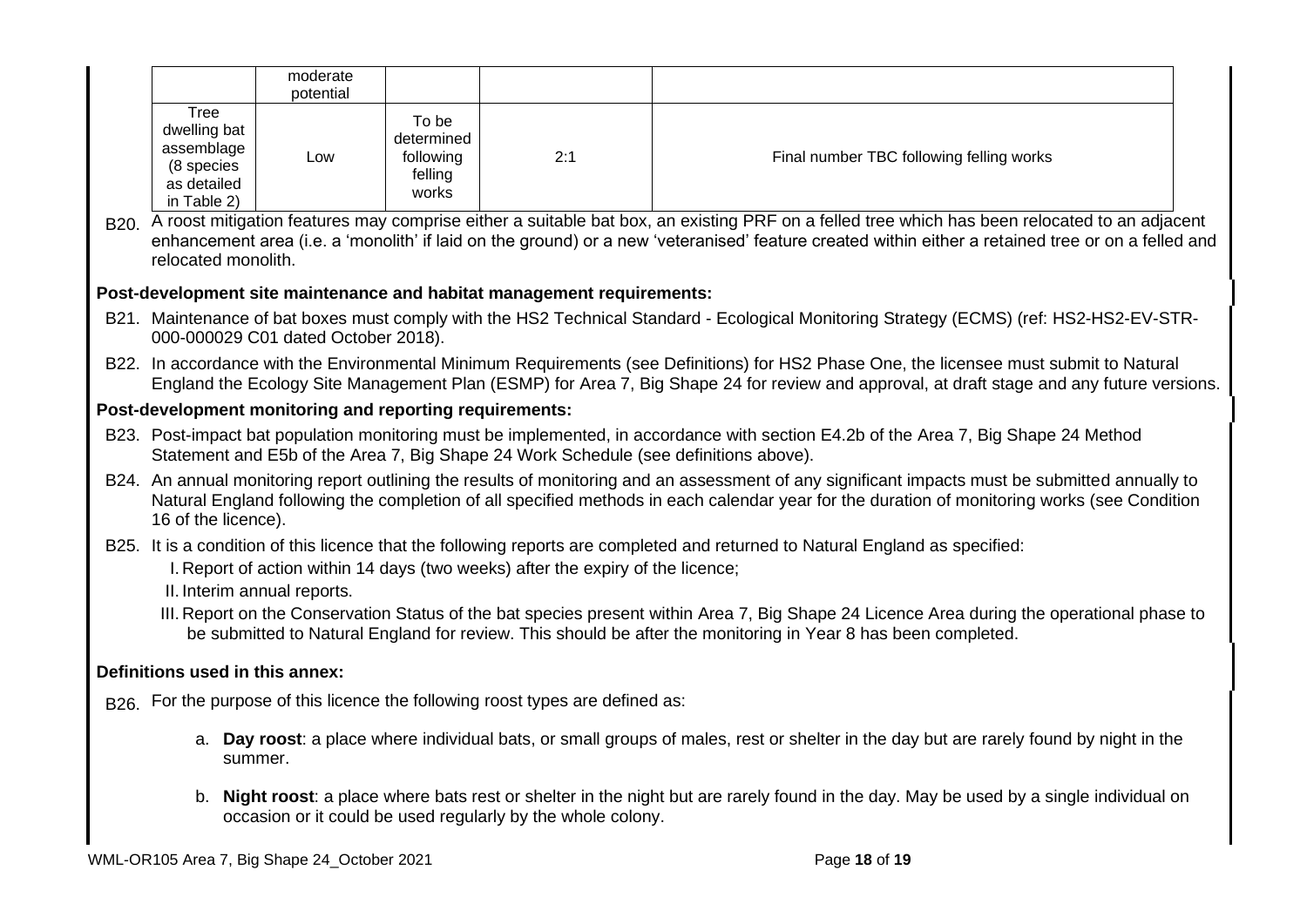|                                                                                | moderate<br>potential |                                                      |     |                                          |
|--------------------------------------------------------------------------------|-----------------------|------------------------------------------------------|-----|------------------------------------------|
| Tree<br>dwelling bat<br>assemblage<br>(8 species<br>as detailed<br>in Table 2) | Low                   | To be<br>determined<br>following<br>felling<br>works | 2:1 | Final number TBC following felling works |

B<sub>20.</sub> A roost mitigation features may comprise either a suitable bat box, an existing PRF on a felled tree which has been relocated to an adjacent enhancement area (i.e. a 'monolith' if laid on the ground) or a new 'veteranised' feature created within either a retained tree or on a felled and relocated monolith.

## **Post-development site maintenance and habitat management requirements:**

- B21. Maintenance of bat boxes must comply with the HS2 Technical Standard Ecological Monitoring Strategy (ECMS) (ref: HS2-HS2-EV-STR-000-000029 C01 dated October 2018).
- B22. In accordance with the Environmental Minimum Requirements (see Definitions) for HS2 Phase One, the licensee must submit to Natural England the Ecology Site Management Plan (ESMP) for Area 7, Big Shape 24 for review and approval, at draft stage and any future versions.

## **Post-development monitoring and reporting requirements:**

- B23. Post-impact bat population monitoring must be implemented, in accordance with section E4.2b of the Area 7, Big Shape 24 Method Statement and E5b of the Area 7, Big Shape 24 Work Schedule (see definitions above).
- B24. An annual monitoring report outlining the results of monitoring and an assessment of any significant impacts must be submitted annually to Natural England following the completion of all specified methods in each calendar year for the duration of monitoring works (see Condition 16 of the licence).

B25. It is a condition of this licence that the following reports are completed and returned to Natural England as specified:

I. Report of action within 14 days (two weeks) after the expiry of the licence;

II. Interim annual reports.

III. Report on the Conservation Status of the bat species present within Area 7, Big Shape 24 Licence Area during the operational phase to be submitted to Natural England for review. This should be after the monitoring in Year 8 has been completed.

## **Definitions used in this annex:**

B<sub>26</sub>. For the purpose of this licence the following roost types are defined as:

- a. **Day roost**: a place where individual bats, or small groups of males, rest or shelter in the day but are rarely found by night in the summer.
- b. **Night roost**: a place where bats rest or shelter in the night but are rarely found in the day. May be used by a single individual on occasion or it could be used regularly by the whole colony.